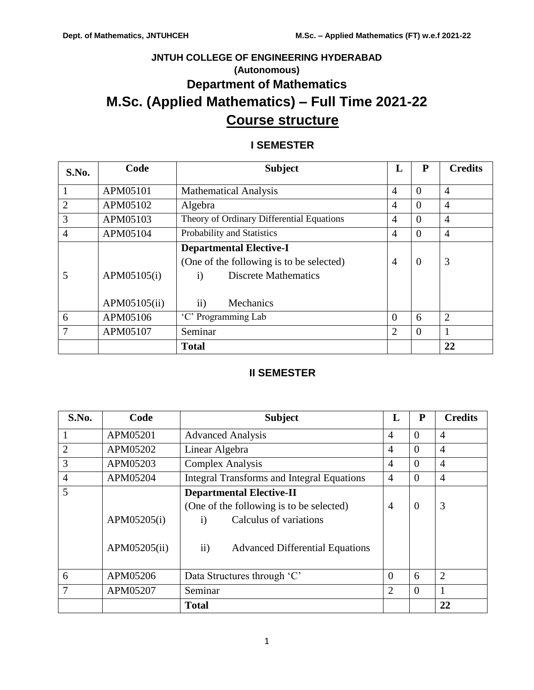# **JNTUH COLLEGE OF ENGINEERING HYDERABAD (Autonomous) Department of Mathematics M.Sc. (Applied Mathematics) – Full Time 2021-22 Course structure**

# **I SEMESTER**

| S.No.          | Code                        | <b>Subject</b>                                                                                                                                          | L              | P        | <b>Credits</b> |
|----------------|-----------------------------|---------------------------------------------------------------------------------------------------------------------------------------------------------|----------------|----------|----------------|
| 1              | APM05101                    | <b>Mathematical Analysis</b>                                                                                                                            | $\overline{A}$ | $\Omega$ | $\overline{4}$ |
| $\overline{2}$ | APM05102                    | Algebra                                                                                                                                                 | $\overline{4}$ | $\Omega$ | $\overline{4}$ |
| 3              | APM05103                    | Theory of Ordinary Differential Equations                                                                                                               | $\overline{A}$ | $\Omega$ | $\overline{A}$ |
| 4              | APM05104                    | Probability and Statistics                                                                                                                              | $\overline{4}$ | $\theta$ | $\overline{4}$ |
|                | APM05105(i)<br>APM05105(ii) | <b>Departmental Elective-I</b><br>(One of the following is to be selected)<br><b>Discrete Mathematics</b><br>$\mathbf{i}$<br>$\mathbf{ii}$<br>Mechanics | $\overline{4}$ | $\theta$ | 3              |
| 6              | APM05106                    | 'C' Programming Lab                                                                                                                                     | $\Omega$       | 6        | $\overline{2}$ |
| 7              | APM05107                    | Seminar                                                                                                                                                 | $\overline{2}$ | $\theta$ |                |
|                |                             | <b>Total</b>                                                                                                                                            |                |          | 22             |

# **II SEMESTER**

| S.No.          | Code         | <b>Subject</b>                                          | L              | P        | <b>Credits</b> |
|----------------|--------------|---------------------------------------------------------|----------------|----------|----------------|
| $\mathbf{1}$   | APM05201     | <b>Advanced Analysis</b>                                | 4              | $\theta$ | 4              |
| $\overline{2}$ | APM05202     | Linear Algebra                                          | $\overline{4}$ | $\theta$ | $\overline{4}$ |
| 3              | APM05203     | <b>Complex Analysis</b>                                 | $\overline{4}$ | $\theta$ | $\overline{4}$ |
| $\overline{4}$ | APM05204     | <b>Integral Transforms and Integral Equations</b>       | $\overline{4}$ | $\theta$ | 4              |
| 5              |              | <b>Departmental Elective-II</b>                         |                |          |                |
|                |              | (One of the following is to be selected)                | $\overline{4}$ | $\theta$ | 3              |
|                | APM05205(i)  | Calculus of variations<br>$\bf{1)}$                     |                |          |                |
|                | APM05205(ii) | $\mathbf{ii}$<br><b>Advanced Differential Equations</b> |                |          |                |
| 6              | APM05206     | Data Structures through 'C'                             | $\Omega$       | 6        | $\overline{2}$ |
| 7              | APM05207     | Seminar                                                 | $\overline{2}$ | $\theta$ |                |
|                |              | <b>Total</b>                                            |                |          | 22             |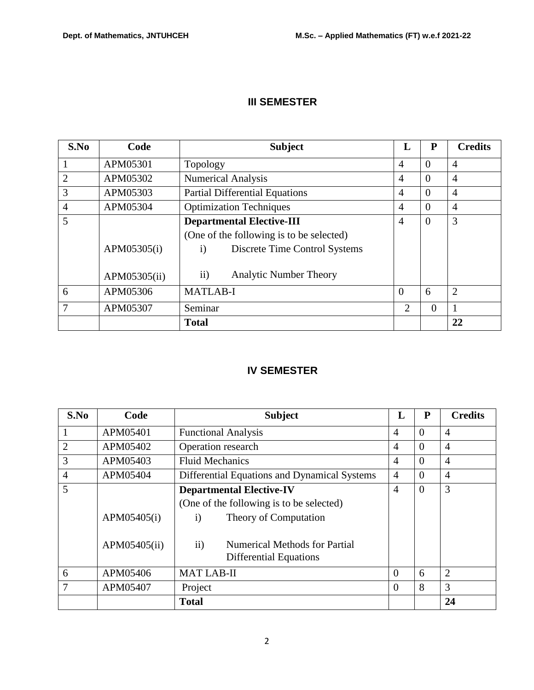# **III SEMESTER**

| S.No           | Code         | <b>Subject</b>                                 |                             | P              | <b>Credits</b> |
|----------------|--------------|------------------------------------------------|-----------------------------|----------------|----------------|
|                | APM05301     | Topology                                       | $\overline{4}$              | $\Omega$       | $\overline{4}$ |
| $\overline{2}$ | APM05302     | <b>Numerical Analysis</b>                      | $\overline{A}$              | $\Omega$       | $\overline{4}$ |
| 3              | APM05303     | <b>Partial Differential Equations</b>          | $\overline{4}$              | $\Omega$       | $\overline{4}$ |
| $\overline{4}$ | APM05304     | <b>Optimization Techniques</b>                 | $\overline{A}$              | $\Omega$       | $\overline{4}$ |
| 5              |              | <b>Departmental Elective-III</b>               | $\overline{4}$              | $\overline{0}$ | 3              |
|                |              | (One of the following is to be selected)       |                             |                |                |
|                | APM05305(i)  | Discrete Time Control Systems<br>$\mathbf{i}$  |                             |                |                |
|                | APM05305(ii) | $\mathbf{ii}$<br><b>Analytic Number Theory</b> |                             |                |                |
| 6              | APM05306     | <b>MATLAB-I</b>                                | $\Omega$                    | 6              | $\overline{2}$ |
| 7              | APM05307     | Seminar                                        | $\mathcal{D}_{\mathcal{L}}$ | $\theta$       |                |
|                |              | <b>Total</b>                                   |                             |                | 22             |

# **IV SEMESTER**

| S.No           | Code         | <b>Subject</b>                                                                  | L              | P        | <b>Credits</b> |
|----------------|--------------|---------------------------------------------------------------------------------|----------------|----------|----------------|
|                | APM05401     | <b>Functional Analysis</b>                                                      |                | $\Omega$ | $\overline{4}$ |
| $\overline{2}$ | APM05402     | Operation research                                                              | 4              | $\Omega$ | $\overline{4}$ |
| 3              | APM05403     | <b>Fluid Mechanics</b>                                                          | 4              | $\Omega$ | $\overline{4}$ |
| $\overline{4}$ | APM05404     | Differential Equations and Dynamical Systems                                    | $\overline{4}$ | $\Omega$ | $\overline{4}$ |
| 5              |              | <b>Departmental Elective-IV</b>                                                 | $\overline{4}$ | $\Omega$ | 3              |
|                |              | (One of the following is to be selected)                                        |                |          |                |
|                | APM05405(i)  | Theory of Computation<br>$\mathbf{i}$                                           |                |          |                |
|                | APM05405(ii) | $\mathbf{ii}$<br>Numerical Methods for Partial<br><b>Differential Equations</b> |                |          |                |
| 6              | APM05406     | <b>MAT LAB-II</b>                                                               | $\Omega$       | 6        | $\overline{2}$ |
| 7              | APM05407     | Project                                                                         | $\theta$       | 8        | 3              |
|                |              | <b>Total</b>                                                                    |                |          | 24             |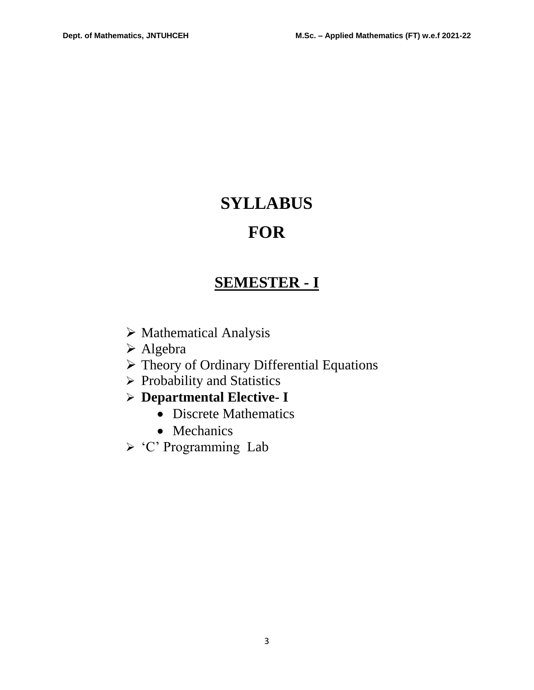# **SYLLABUS FOR**

# **SEMESTER - I**

- $\triangleright$  Mathematical Analysis
- Algebra
- Theory of Ordinary Differential Equations
- $\triangleright$  Probability and Statistics
- **Departmental Elective- I**
	- Discrete Mathematics
	- Mechanics
- 'C' Programming Lab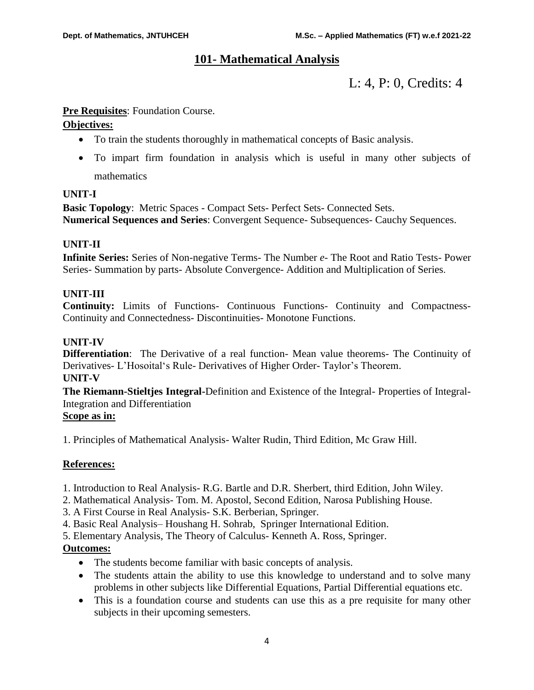# **101- Mathematical Analysis**

# L: 4, P: 0, Credits: 4

# **Pre Requisites**: Foundation Course.

# **Objectives:**

- To train the students thoroughly in mathematical concepts of Basic analysis.
- To impart firm foundation in analysis which is useful in many other subjects of mathematics

# **UNIT-I**

**Basic Topology**: Metric Spaces - Compact Sets- Perfect Sets- Connected Sets. **Numerical Sequences and Series**: Convergent Sequence- Subsequences- Cauchy Sequences.

# **UNIT-II**

**Infinite Series:** Series of Non-negative Terms- The Number *e*- The Root and Ratio Tests- Power Series- Summation by parts- Absolute Convergence- Addition and Multiplication of Series.

# **UNIT-III**

**Continuity:** Limits of Functions- Continuous Functions- Continuity and Compactness-Continuity and Connectedness- Discontinuities- Monotone Functions.

# **UNIT-IV**

**Differentiation**: The Derivative of a real function- Mean value theorems- The Continuity of Derivatives- L'Hosoital's Rule- Derivatives of Higher Order- Taylor's Theorem. **UNIT-V**

**The Riemann-Stieltjes Integral-**Definition and Existence of the Integral- Properties of Integral-Integration and Differentiation

# **Scope as in:**

1. Principles of Mathematical Analysis- Walter Rudin, Third Edition, Mc Graw Hill.

# **References:**

- 1. Introduction to Real Analysis- R.G. Bartle and D.R. Sherbert, third Edition, John Wiley.
- 2. Mathematical Analysis- Tom. M. Apostol, Second Edition, Narosa Publishing House.
- 3. A First Course in Real Analysis- S.K. Berberian, Springer.
- 4. Basic Real Analysis– Houshang H. Sohrab, Springer International Edition.
- 5. Elementary Analysis, The Theory of Calculus- Kenneth A. Ross, Springer.

# **Outcomes:**

- The students become familiar with basic concepts of analysis.
- The students attain the ability to use this knowledge to understand and to solve many problems in other subjects like Differential Equations, Partial Differential equations etc.
- This is a foundation course and students can use this as a pre requisite for many other subjects in their upcoming semesters.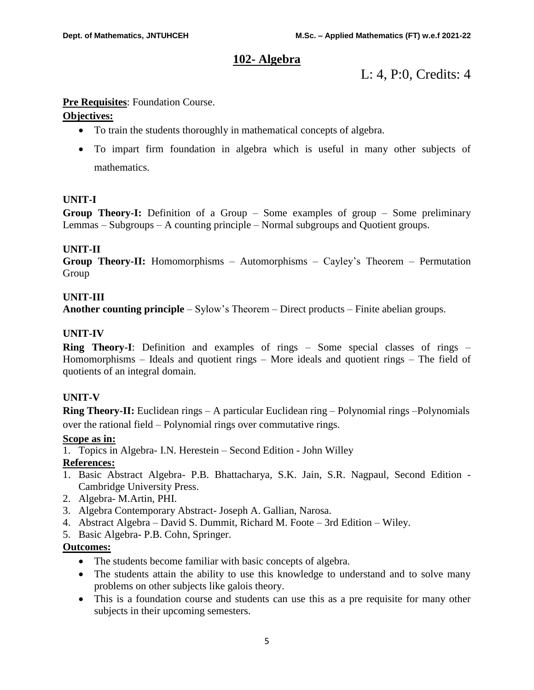# **102- Algebra**

L: 4, P:0, Credits: 4

# **Pre Requisites**: Foundation Course.

# **Objectives:**

- To train the students thoroughly in mathematical concepts of algebra.
- To impart firm foundation in algebra which is useful in many other subjects of mathematics.

# **UNIT-I**

**Group Theory-I:** Definition of a Group – Some examples of group – Some preliminary Lemmas – Subgroups – A counting principle – Normal subgroups and Quotient groups.

# **UNIT-II**

**Group Theory-II:** Homomorphisms – Automorphisms – Cayley's Theorem – Permutation Group

# **UNIT-III**

**Another counting principle** – Sylow's Theorem – Direct products – Finite abelian groups.

# **UNIT-IV**

**Ring Theory-I**: Definition and examples of rings – Some special classes of rings – Homomorphisms – Ideals and quotient rings – More ideals and quotient rings – The field of quotients of an integral domain.

# **UNIT-V**

**Ring Theory-II:** Euclidean rings – A particular Euclidean ring – Polynomial rings –Polynomials over the rational field – Polynomial rings over commutative rings.

# **Scope as in:**

1. Topics in Algebra- I.N. Herestein – Second Edition - John Willey

# **References:**

- 1. Basic Abstract Algebra- P.B. Bhattacharya, S.K. Jain, S.R. Nagpaul, Second Edition Cambridge University Press.
- 2. Algebra- M.Artin, PHI.
- 3. Algebra Contemporary Abstract- Joseph A. Gallian, Narosa.
- 4. Abstract Algebra David S. Dummit, Richard M. Foote 3rd Edition Wiley.
- 5. Basic Algebra- P.B. Cohn, Springer.

# **Outcomes:**

- The students become familiar with basic concepts of algebra.
- The students attain the ability to use this knowledge to understand and to solve many problems on other subjects like galois theory.
- This is a foundation course and students can use this as a pre requisite for many other subjects in their upcoming semesters.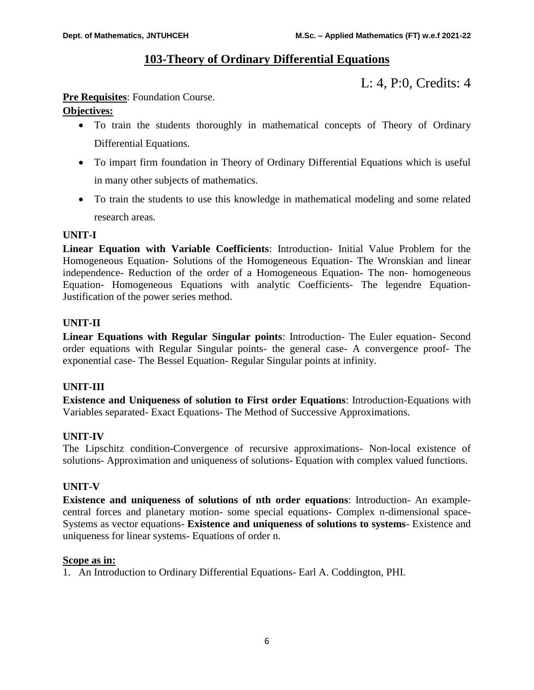# **103-Theory of Ordinary Differential Equations**

L: 4, P:0, Credits: 4

# **Pre Requisites:** Foundation Course.

# **Objectives:**

- To train the students thoroughly in mathematical concepts of Theory of Ordinary Differential Equations.
- To impart firm foundation in Theory of Ordinary Differential Equations which is useful in many other subjects of mathematics.
- To train the students to use this knowledge in mathematical modeling and some related research areas.

# **UNIT-I**

**Linear Equation with Variable Coefficients**: Introduction- Initial Value Problem for the Homogeneous Equation- Solutions of the Homogeneous Equation- The Wronskian and linear independence- Reduction of the order of a Homogeneous Equation- The non- homogeneous Equation- Homogeneous Equations with analytic Coefficients- The legendre Equation-Justification of the power series method.

# **UNIT-II**

**Linear Equations with Regular Singular points**: Introduction- The Euler equation- Second order equations with Regular Singular points- the general case- A convergence proof- The exponential case- The Bessel Equation- Regular Singular points at infinity.

# **UNIT-III**

**Existence and Uniqueness of solution to First order Equations**: Introduction-Equations with Variables separated- Exact Equations- The Method of Successive Approximations.

# **UNIT-IV**

The Lipschitz condition-Convergence of recursive approximations- Non-local existence of solutions- Approximation and uniqueness of solutions- Equation with complex valued functions.

# **UNIT-V**

**Existence and uniqueness of solutions of nth order equations**: Introduction- An examplecentral forces and planetary motion- some special equations- Complex n-dimensional space-Systems as vector equations- **Existence and uniqueness of solutions to systems**- Existence and uniqueness for linear systems- Equations of order n.

# **Scope as in:**

1. An Introduction to Ordinary Differential Equations- Earl A. Coddington, PHI.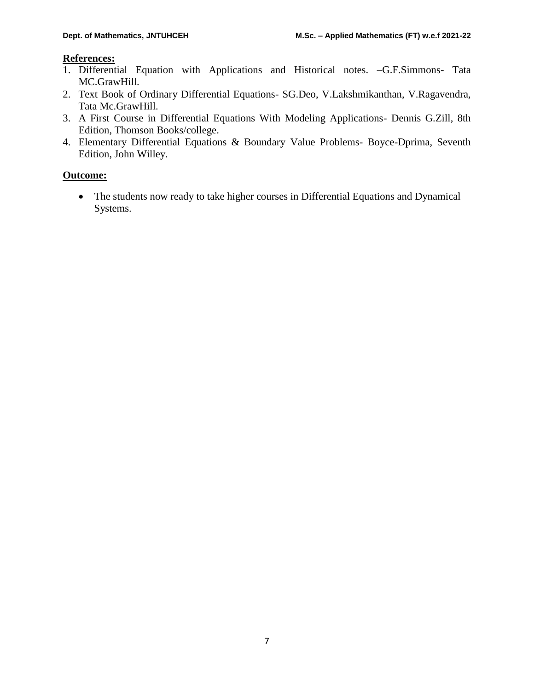# **References:**

- 1. Differential Equation with Applications and Historical notes. –G.F.Simmons- Tata MC.GrawHill.
- 2. Text Book of Ordinary Differential Equations- SG.Deo, V.Lakshmikanthan, V.Ragavendra, Tata Mc.GrawHill.
- 3. A First Course in Differential Equations With Modeling Applications- Dennis G.Zill, 8th Edition, Thomson Books/college.
- 4. Elementary Differential Equations & Boundary Value Problems- Boyce-Dprima, Seventh Edition, John Willey.

# **Outcome:**

• The students now ready to take higher courses in Differential Equations and Dynamical Systems.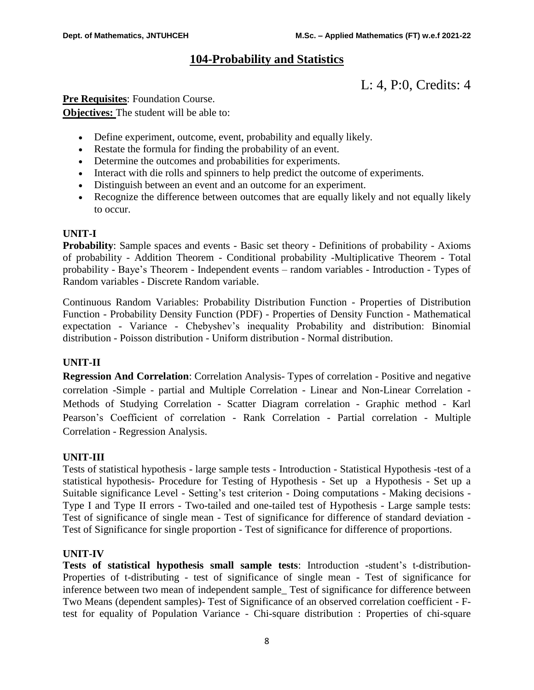# **104-Probability and Statistics**

L: 4, P:0, Credits: 4

**Pre Requisites:** Foundation Course. **Objectives:** The student will be able to:

- Define experiment, outcome, event, probability and equally likely.
- Restate the formula for finding the probability of an event.
- Determine the outcomes and probabilities for experiments.
- Interact with die rolls and spinners to help predict the outcome of experiments.
- Distinguish between an event and an outcome for an experiment.
- Recognize the difference between outcomes that are equally likely and not equally likely to occur.

# **UNIT-I**

**Probability**: Sample spaces and events - Basic set theory - Definitions of probability - Axioms of probability - Addition Theorem - Conditional probability -Multiplicative Theorem - Total probability - Baye's Theorem - Independent events – random variables - Introduction - Types of Random variables - Discrete Random variable.

Continuous Random Variables: Probability Distribution Function - Properties of Distribution Function - Probability Density Function (PDF) - Properties of Density Function - Mathematical expectation - Variance - Chebyshev's inequality Probability and distribution: Binomial distribution - Poisson distribution - Uniform distribution - Normal distribution.

# **UNIT-II**

**Regression And Correlation**: Correlation Analysis- Types of correlation - Positive and negative correlation -Simple - partial and Multiple Correlation - Linear and Non-Linear Correlation - Methods of Studying Correlation - Scatter Diagram correlation - Graphic method - Karl Pearson's Coefficient of correlation - Rank Correlation - Partial correlation - Multiple Correlation - Regression Analysis.

# **UNIT-III**

Tests of statistical hypothesis - large sample tests - Introduction - Statistical Hypothesis -test of a statistical hypothesis- Procedure for Testing of Hypothesis - Set up a Hypothesis - Set up a Suitable significance Level - Setting's test criterion - Doing computations - Making decisions - Type I and Type II errors - Two-tailed and one-tailed test of Hypothesis - Large sample tests: Test of significance of single mean - Test of significance for difference of standard deviation - Test of Significance for single proportion - Test of significance for difference of proportions.

# **UNIT-IV**

**Tests of statistical hypothesis small sample tests**: Introduction -student's t-distribution-Properties of t-distributing - test of significance of single mean - Test of significance for inference between two mean of independent sample\_ Test of significance for difference between Two Means (dependent samples)- Test of Significance of an observed correlation coefficient - Ftest for equality of Population Variance - Chi-square distribution : Properties of chi-square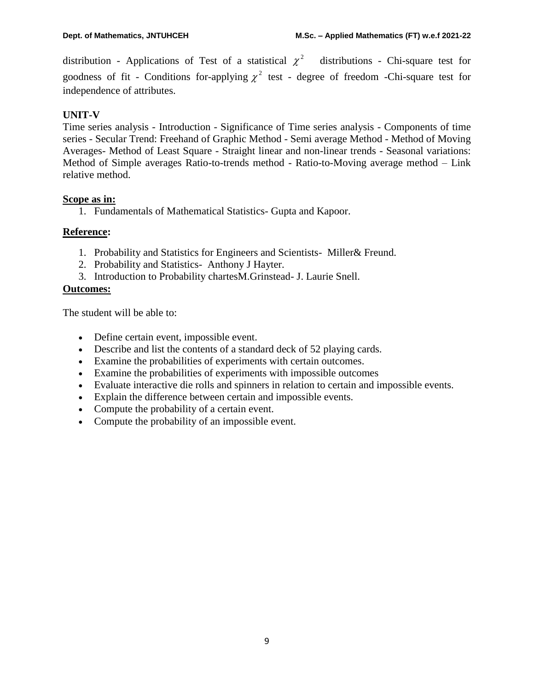distribution - Applications of Test of a statistical  $\chi^2$ distributions - Chi-square test for goodness of fit - Conditions for-applying  $\chi^2$  test - degree of freedom -Chi-square test for independence of attributes.

# **UNIT-V**

Time series analysis - Introduction - Significance of Time series analysis - Components of time series - Secular Trend: Freehand of Graphic Method - Semi average Method - Method of Moving Averages- Method of Least Square - Straight linear and non-linear trends - Seasonal variations: Method of Simple averages Ratio-to-trends method - Ratio-to-Moving average method – Link relative method.

# **Scope as in:**

1. Fundamentals of Mathematical Statistics- Gupta and Kapoor.

# **Reference:**

- 1. Probability and Statistics for Engineers and Scientists- Miller& Freund.
- 2. Probability and Statistics- Anthony J Hayter.
- 3. Introduction to Probability chartesM.Grinstead- J. Laurie Snell.

# **Outcomes:**

The student will be able to:

- Define certain event, impossible event.
- Describe and list the contents of a standard deck of 52 playing cards.
- Examine the probabilities of experiments with certain outcomes.
- Examine the probabilities of experiments with impossible outcomes
- Evaluate interactive die rolls and spinners in relation to certain and impossible events.
- Explain the difference between certain and impossible events.
- Compute the probability of a certain event.
- Compute the probability of an impossible event.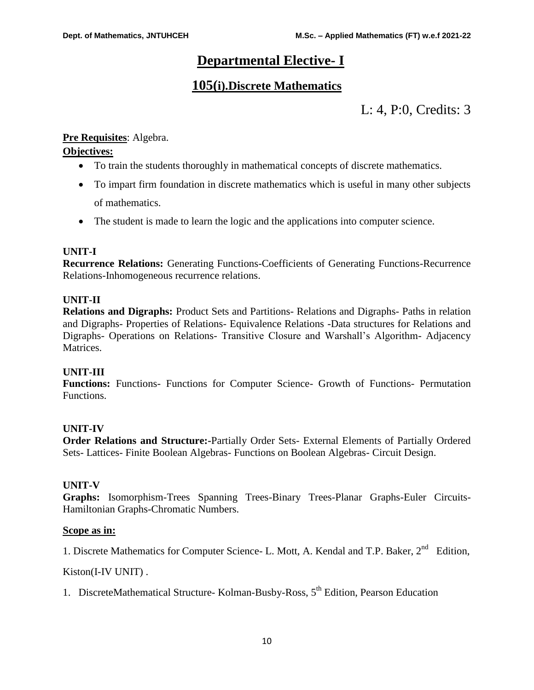# **Departmental Elective- I**

# **105(i).Discrete Mathematics**

L: 4, P:0, Credits: 3

# **Pre Requisites**: Algebra.

# **Objectives:**

- To train the students thoroughly in mathematical concepts of discrete mathematics.
- To impart firm foundation in discrete mathematics which is useful in many other subjects of mathematics.
- The student is made to learn the logic and the applications into computer science.

# **UNIT-I**

**Recurrence Relations:** Generating Functions-Coefficients of Generating Functions-Recurrence Relations-Inhomogeneous recurrence relations.

# **UNIT-II**

**Relations and Digraphs:** Product Sets and Partitions- Relations and Digraphs- Paths in relation and Digraphs- Properties of Relations- Equivalence Relations -Data structures for Relations and Digraphs- Operations on Relations- Transitive Closure and Warshall's Algorithm- Adjacency **Matrices** 

# **UNIT-III**

**Functions:** Functions- Functions for Computer Science- Growth of Functions- Permutation Functions.

# **UNIT-IV**

**Order Relations and Structure:-**Partially Order Sets- External Elements of Partially Ordered Sets- Lattices- Finite Boolean Algebras- Functions on Boolean Algebras- Circuit Design.

# **UNIT-V**

**Graphs:** Isomorphism-Trees Spanning Trees-Binary Trees-Planar Graphs-Euler Circuits-Hamiltonian Graphs-Chromatic Numbers.

# **Scope as in:**

1. Discrete Mathematics for Computer Science- L. Mott, A. Kendal and T.P. Baker,  $2^{nd}$  Edition,

Kiston(I-IV UNIT) .

1. DiscreteMathematical Structure- Kolman-Busby-Ross, 5<sup>th</sup> Edition, Pearson Education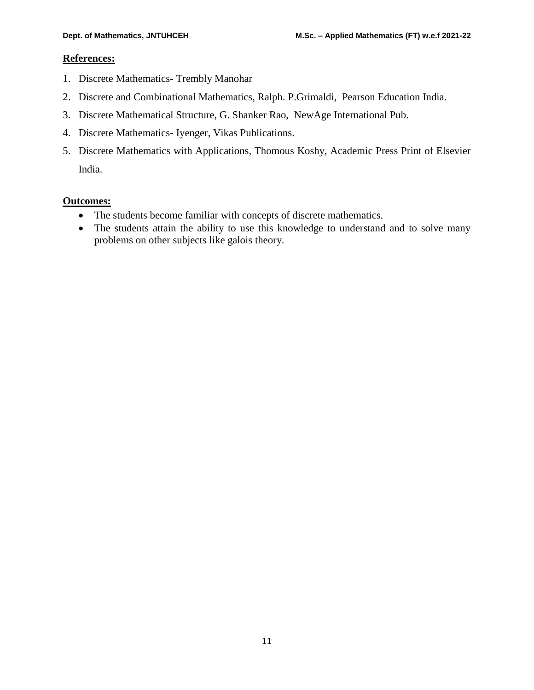# **References:**

- 1. Discrete Mathematics- Trembly Manohar
- 2. Discrete and Combinational Mathematics, Ralph. P.Grimaldi, Pearson Education India.
- 3. Discrete Mathematical Structure, G. Shanker Rao, NewAge International Pub.
- 4. Discrete Mathematics- Iyenger, Vikas Publications.
- 5. Discrete Mathematics with Applications, Thomous Koshy, Academic Press Print of Elsevier India.

# **Outcomes:**

- The students become familiar with concepts of discrete mathematics.
- The students attain the ability to use this knowledge to understand and to solve many problems on other subjects like galois theory.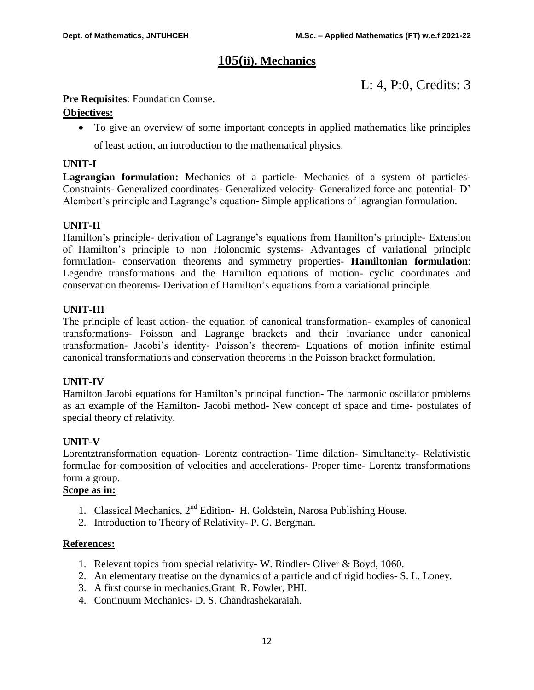# **105(ii). Mechanics**

L: 4, P:0, Credits: 3

# **Pre Requisites:** Foundation Course.

# **Objectives:**

To give an overview of some important concepts in applied mathematics like principles

of least action, an introduction to the mathematical physics.

# **UNIT-I**

**Lagrangian formulation:** Mechanics of a particle- Mechanics of a system of particles-Constraints- Generalized coordinates- Generalized velocity- Generalized force and potential- D' Alembert's principle and Lagrange's equation- Simple applications of lagrangian formulation.

# **UNIT-II**

Hamilton's principle- derivation of Lagrange's equations from Hamilton's principle- Extension of Hamilton's principle to non Holonomic systems- Advantages of variational principle formulation- conservation theorems and symmetry properties- **Hamiltonian formulation**: Legendre transformations and the Hamilton equations of motion- cyclic coordinates and conservation theorems- Derivation of Hamilton's equations from a variational principle.

# **UNIT-III**

The principle of least action- the equation of canonical transformation- examples of canonical transformations- Poisson and Lagrange brackets and their invariance under canonical transformation- Jacobi's identity- Poisson's theorem- Equations of motion infinite estimal canonical transformations and conservation theorems in the Poisson bracket formulation.

# **UNIT-IV**

Hamilton Jacobi equations for Hamilton's principal function- The harmonic oscillator problems as an example of the Hamilton- Jacobi method- New concept of space and time- postulates of special theory of relativity.

# **UNIT-V**

Lorentztransformation equation- Lorentz contraction- Time dilation- Simultaneity- Relativistic formulae for composition of velocities and accelerations- Proper time- Lorentz transformations form a group.

# **Scope as in:**

- 1. Classical Mechanics,  $2<sup>nd</sup>$  Edition- H. Goldstein, Narosa Publishing House.
- 2. Introduction to Theory of Relativity- P. G. Bergman.

# **References:**

- 1. Relevant topics from special relativity- W. Rindler- Oliver & Boyd, 1060.
- 2. An elementary treatise on the dynamics of a particle and of rigid bodies- S. L. Loney.
- 3. A first course in mechanics,Grant R. Fowler, PHI.
- 4. Continuum Mechanics- D. S. Chandrashekaraiah.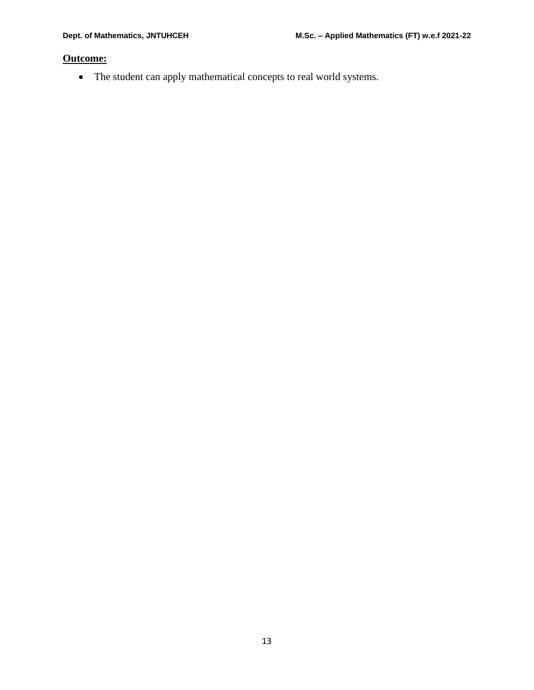# **Outcome:**

The student can apply mathematical concepts to real world systems.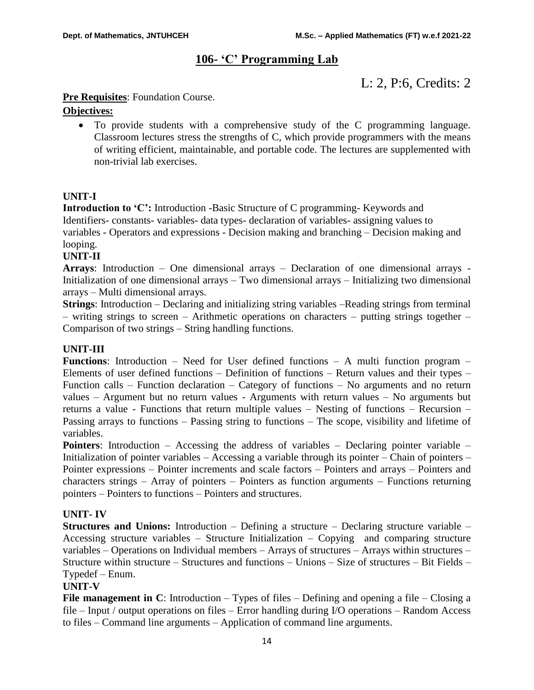# **106- 'C' Programming Lab**

L: 2, P:6, Credits: 2

# **Pre Requisites:** Foundation Course.

# **Objectives:**

 To provide students with a comprehensive study of the C programming language. Classroom lectures stress the strengths of C, which provide programmers with the means of writing efficient, maintainable, and portable code. The lectures are supplemented with non-trivial lab exercises.

# **UNIT-I**

**Introduction to 'C':** Introduction -Basic Structure of C programming- Keywords and Identifiers- constants- variables- data types- declaration of variables- assigning values to variables - Operators and expressions - Decision making and branching – Decision making and looping.

# **UNIT-II**

**Arrays**: Introduction – One dimensional arrays – Declaration of one dimensional arrays - Initialization of one dimensional arrays – Two dimensional arrays – Initializing two dimensional arrays – Multi dimensional arrays.

**Strings**: Introduction – Declaring and initializing string variables –Reading strings from terminal – writing strings to screen – Arithmetic operations on characters – putting strings together – Comparison of two strings – String handling functions.

# **UNIT-III**

**Functions**: Introduction – Need for User defined functions – A multi function program – Elements of user defined functions – Definition of functions – Return values and their types – Function calls – Function declaration – Category of functions – No arguments and no return values – Argument but no return values - Arguments with return values – No arguments but returns a value - Functions that return multiple values – Nesting of functions – Recursion – Passing arrays to functions – Passing string to functions – The scope, visibility and lifetime of variables.

**Pointers**: Introduction – Accessing the address of variables – Declaring pointer variable – Initialization of pointer variables – Accessing a variable through its pointer – Chain of pointers – Pointer expressions – Pointer increments and scale factors – Pointers and arrays – Pointers and characters strings – Array of pointers – Pointers as function arguments – Functions returning pointers – Pointers to functions – Pointers and structures.

# **UNIT- IV**

**Structures and Unions:** Introduction – Defining a structure – Declaring structure variable – Accessing structure variables – Structure Initialization – Copying and comparing structure variables – Operations on Individual members – Arrays of structures – Arrays within structures – Structure within structure – Structures and functions – Unions – Size of structures – Bit Fields – Typedef – Enum.

# **UNIT-V**

**File management in C**: Introduction – Types of files – Defining and opening a file – Closing a file – Input / output operations on files – Error handling during I/O operations – Random Access to files – Command line arguments – Application of command line arguments.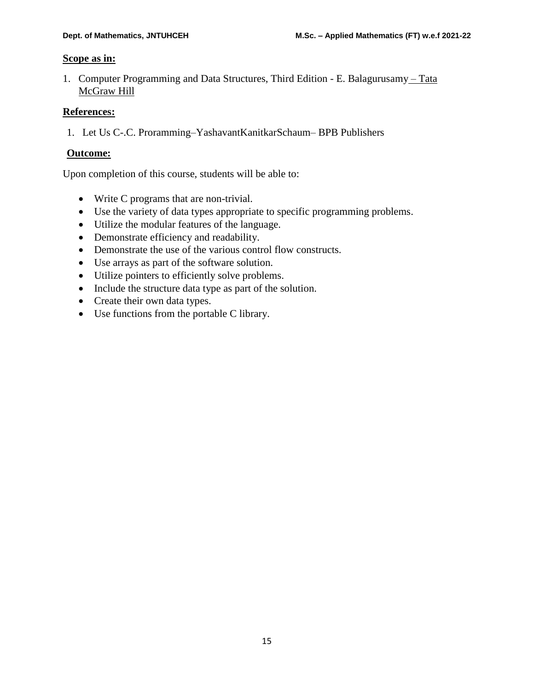# **Scope as in:**

1. Computer Programming and Data Structures, Third Edition - E. Balagurusamy – Tata McGraw Hill

# **References:**

1. Let Us C-.C. Proramming–YashavantKanitkarSchaum– BPB Publishers

# **Outcome:**

Upon completion of this course, students will be able to:

- Write C programs that are non-trivial.
- Use the variety of data types appropriate to specific programming problems.
- Utilize the modular features of the language.
- Demonstrate efficiency and readability.
- Demonstrate the use of the various control flow constructs.
- Use arrays as part of the software solution.
- Utilize pointers to efficiently solve problems.
- Include the structure data type as part of the solution.
- Create their own data types.
- Use functions from the portable C library.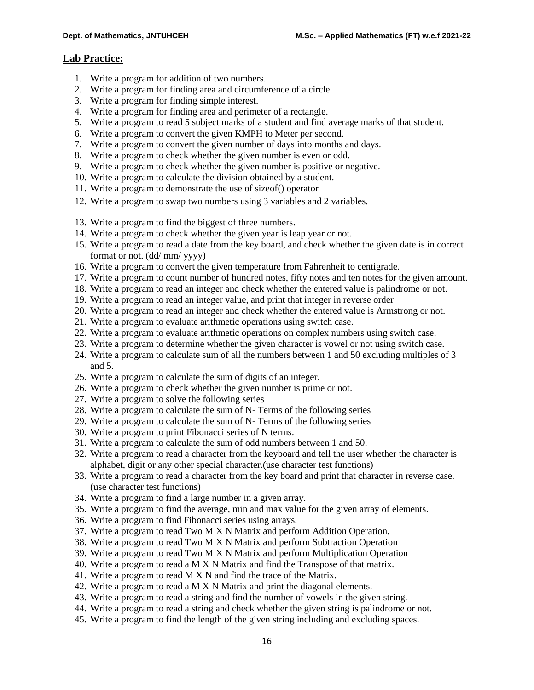# **Lab Practice:**

- 1. Write a program for addition of two numbers.
- 2. Write a program for finding area and circumference of a circle.
- 3. Write a program for finding simple interest.
- 4. Write a program for finding area and perimeter of a rectangle.
- 5. Write a program to read 5 subject marks of a student and find average marks of that student.
- 6. Write a program to convert the given KMPH to Meter per second.
- 7. Write a program to convert the given number of days into months and days.
- 8. Write a program to check whether the given number is even or odd.
- 9. Write a program to check whether the given number is positive or negative.
- 10. Write a program to calculate the division obtained by a student.
- 11. Write a program to demonstrate the use of sizeof() operator
- 12. Write a program to swap two numbers using 3 variables and 2 variables.
- 13. Write a program to find the biggest of three numbers.
- 14. Write a program to check whether the given year is leap year or not.
- 15. Write a program to read a date from the key board, and check whether the given date is in correct format or not. (dd/ mm/ yyyy)
- 16. Write a program to convert the given temperature from Fahrenheit to centigrade.
- 17. Write a program to count number of hundred notes, fifty notes and ten notes for the given amount.
- 18. Write a program to read an integer and check whether the entered value is palindrome or not.
- 19. Write a program to read an integer value, and print that integer in reverse order
- 20. Write a program to read an integer and check whether the entered value is Armstrong or not.
- 21. Write a program to evaluate arithmetic operations using switch case.
- 22. Write a program to evaluate arithmetic operations on complex numbers using switch case.
- 23. Write a program to determine whether the given character is vowel or not using switch case.
- 24. Write a program to calculate sum of all the numbers between 1 and 50 excluding multiples of 3 and 5.
- 25. Write a program to calculate the sum of digits of an integer.
- 26. Write a program to check whether the given number is prime or not.
- 27. Write a program to solve the following series
- 28. Write a program to calculate the sum of N- Terms of the following series
- 29. Write a program to calculate the sum of N- Terms of the following series
- 30. Write a program to print Fibonacci series of N terms.
- 31. Write a program to calculate the sum of odd numbers between 1 and 50.
- 32. Write a program to read a character from the keyboard and tell the user whether the character is alphabet, digit or any other special character.(use character test functions)
- 33. Write a program to read a character from the key board and print that character in reverse case. (use character test functions)
- 34. Write a program to find a large number in a given array.
- 35. Write a program to find the average, min and max value for the given array of elements.
- 36. Write a program to find Fibonacci series using arrays.
- 37. Write a program to read Two M X N Matrix and perform Addition Operation.
- 38. Write a program to read Two M X N Matrix and perform Subtraction Operation
- 39. Write a program to read Two M X N Matrix and perform Multiplication Operation
- 40. Write a program to read a M X N Matrix and find the Transpose of that matrix.
- 41. Write a program to read M X N and find the trace of the Matrix.
- 42. Write a program to read a M X N Matrix and print the diagonal elements.
- 43. Write a program to read a string and find the number of vowels in the given string.
- 44. Write a program to read a string and check whether the given string is palindrome or not.
- 45. Write a program to find the length of the given string including and excluding spaces.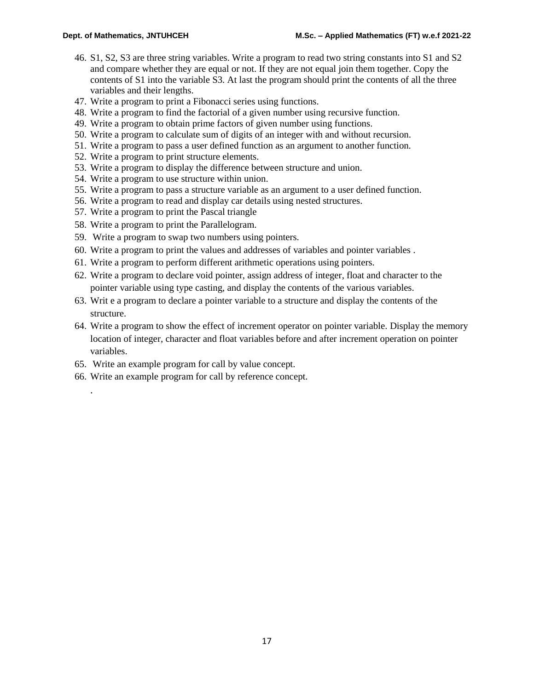- 46. S1, S2, S3 are three string variables. Write a program to read two string constants into S1 and S2 and compare whether they are equal or not. If they are not equal join them together. Copy the contents of S1 into the variable S3. At last the program should print the contents of all the three variables and their lengths.
- 47. Write a program to print a Fibonacci series using functions.
- 48. Write a program to find the factorial of a given number using recursive function.
- 49. Write a program to obtain prime factors of given number using functions.
- 50. Write a program to calculate sum of digits of an integer with and without recursion.
- 51. Write a program to pass a user defined function as an argument to another function.
- 52. Write a program to print structure elements.
- 53. Write a program to display the difference between structure and union.
- 54. Write a program to use structure within union.
- 55. Write a program to pass a structure variable as an argument to a user defined function.
- 56. Write a program to read and display car details using nested structures.
- 57. Write a program to print the Pascal triangle
- 58. Write a program to print the Parallelogram.
- 59. Write a program to swap two numbers using pointers.
- 60. Write a program to print the values and addresses of variables and pointer variables .
- 61. Write a program to perform different arithmetic operations using pointers.
- 62. Write a program to declare void pointer, assign address of integer, float and character to the pointer variable using type casting, and display the contents of the various variables.
- 63. Writ e a program to declare a pointer variable to a structure and display the contents of the structure.
- 64. Write a program to show the effect of increment operator on pointer variable. Display the memory location of integer, character and float variables before and after increment operation on pointer variables.
- 65. Write an example program for call by value concept.

.

66. Write an example program for call by reference concept.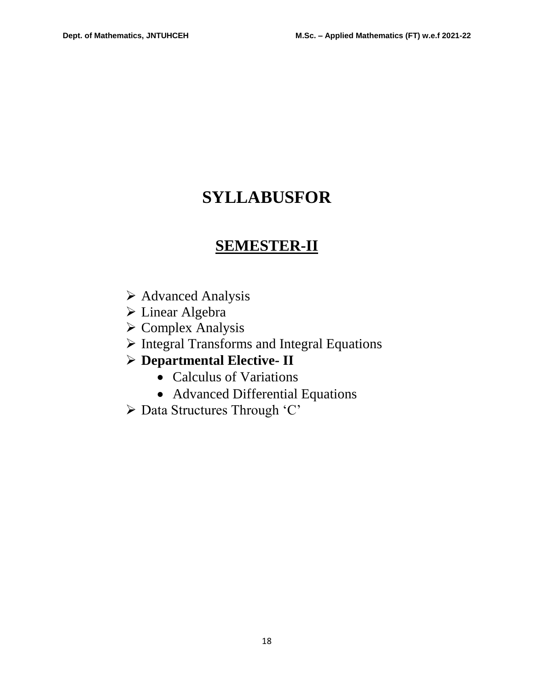# **SYLLABUSFOR**

# **SEMESTER-II**

- $\triangleright$  Advanced Analysis
- Linear Algebra
- Complex Analysis
- $\triangleright$  Integral Transforms and Integral Equations

# **Departmental Elective- II**

- Calculus of Variations
- Advanced Differential Equations
- Data Structures Through 'C'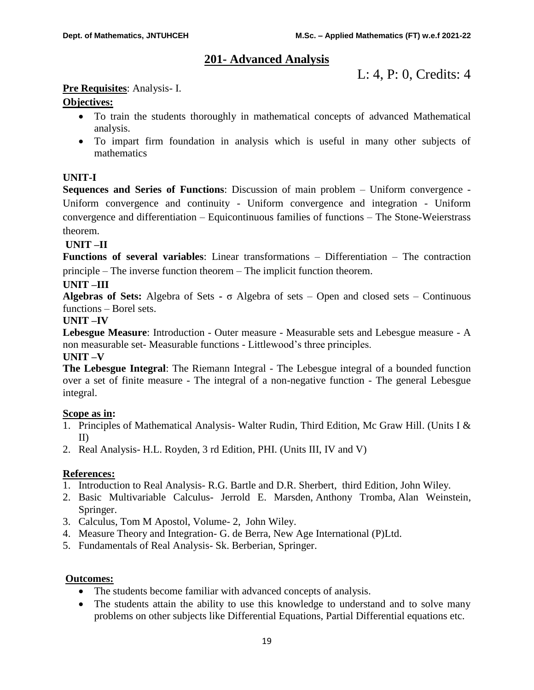# **201- Advanced Analysis**

L: 4, P: 0, Credits: 4

# **Pre Requisites**: Analysis- I.

# **Objectives:**

- To train the students thoroughly in mathematical concepts of advanced Mathematical analysis.
- To impart firm foundation in analysis which is useful in many other subjects of mathematics

# **UNIT-I**

**Sequences and Series of Functions**: Discussion of main problem – Uniform convergence - Uniform convergence and continuity - Uniform convergence and integration - Uniform convergence and differentiation – Equicontinuous families of functions – The Stone-Weierstrass theorem.

# **UNIT –II**

**Functions of several variables**: Linear transformations – Differentiation – The contraction principle – The inverse function theorem – The implicit function theorem.

# **UNIT –III**

**Algebras of Sets:** Algebra of Sets **-** σ Algebra of sets – Open and closed sets – Continuous functions – Borel sets.

# **UNIT –IV**

**Lebesgue Measure**: Introduction - Outer measure - Measurable sets and Lebesgue measure - A non measurable set- Measurable functions - Littlewood's three principles. **UNIT –V**

# **The Lebesgue Integral**: The Riemann Integral - The Lebesgue integral of a bounded function over a set of finite measure - The integral of a non-negative function - The general Lebesgue integral.

# **Scope as in:**

- 1. Principles of Mathematical Analysis- Walter Rudin, Third Edition, Mc Graw Hill. (Units I & II)
- 2. Real Analysis- H.L. Royden, 3 rd Edition, PHI. (Units III, IV and V)

# **References:**

- 1. Introduction to Real Analysis- R.G. Bartle and D.R. Sherbert, third Edition, John Wiley.
- 2. Basic Multivariable Calculus- [Jerrold E. Marsden,](https://www.google.co.in/search?tbo=p&tbm=bks&q=inauthor:%22Jerrold+E.+Marsden%22&source=gbs_metadata_r&cad=3) [Anthony Tromba,](https://www.google.co.in/search?tbo=p&tbm=bks&q=inauthor:%22Anthony+Tromba%22&source=gbs_metadata_r&cad=3) [Alan Weinstein,](https://www.google.co.in/search?tbo=p&tbm=bks&q=inauthor:%22Alan+Weinstein%22&source=gbs_metadata_r&cad=3) Springer.
- 3. Calculus, Tom M Apostol, Volume- 2, John Wiley.
- 4. Measure Theory and Integration- G. de Berra, New Age International (P)Ltd.
- 5. Fundamentals of Real Analysis- Sk. Berberian, Springer.

# **Outcomes:**

- The students become familiar with advanced concepts of analysis.
- The students attain the ability to use this knowledge to understand and to solve many problems on other subjects like Differential Equations, Partial Differential equations etc.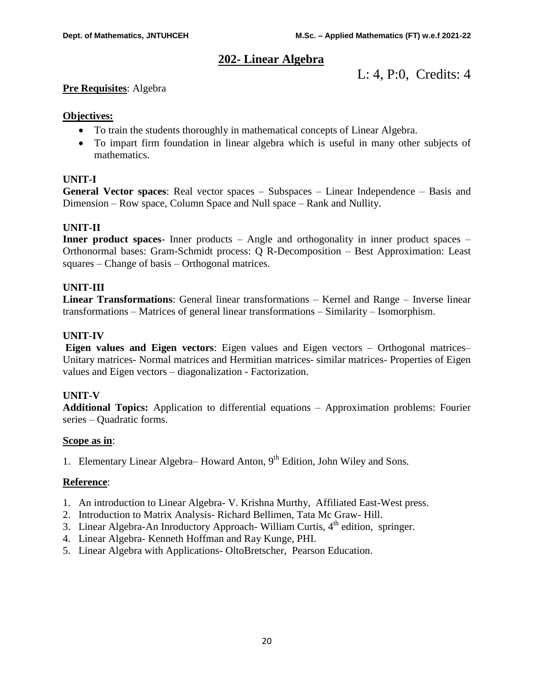# **202- Linear Algebra**

L: 4, P:0, Credits: 4

# **Pre Requisites**: Algebra

# **Objectives:**

- To train the students thoroughly in mathematical concepts of Linear Algebra.
- To impart firm foundation in linear algebra which is useful in many other subjects of mathematics.

# **UNIT-I**

**General Vector spaces**: Real vector spaces – Subspaces – Linear Independence – Basis and Dimension – Row space, Column Space and Null space – Rank and Nullity.

# **UNIT-II**

**Inner product spaces**- Inner products – Angle and orthogonality in inner product spaces – Orthonormal bases: Gram-Schmidt process: Q R-Decomposition – Best Approximation: Least squares – Change of basis – Orthogonal matrices.

# **UNIT-III**

**Linear Transformations**: General linear transformations – Kernel and Range – Inverse linear transformations – Matrices of general linear transformations – Similarity – Isomorphism.

# **UNIT-IV**

**Eigen values and Eigen vectors**: Eigen values and Eigen vectors – Orthogonal matrices– Unitary matrices- Normal matrices and Hermitian matrices- similar matrices- Properties of Eigen values and Eigen vectors – diagonalization - Factorization.

# **UNIT-V**

**Additional Topics:** Application to differential equations – Approximation problems: Fourier series – Quadratic forms.

# **Scope as in**:

1. Elementary Linear Algebra– Howard Anton, 9<sup>th</sup> Edition, John Wiley and Sons.

# **Reference**:

- 1. An introduction to Linear Algebra- V. Krishna Murthy, Affiliated East-West press.
- 2. Introduction to Matrix Analysis- Richard Bellimen, Tata Mc Graw- Hill.
- 3. Linear Algebra-An Inroductory Approach- William Curtis, 4<sup>th</sup> edition, springer.
- 4. Linear Algebra- Kenneth Hoffman and Ray Kunge, PHI.
- 5. Linear Algebra with Applications- OltoBretscher, Pearson Education.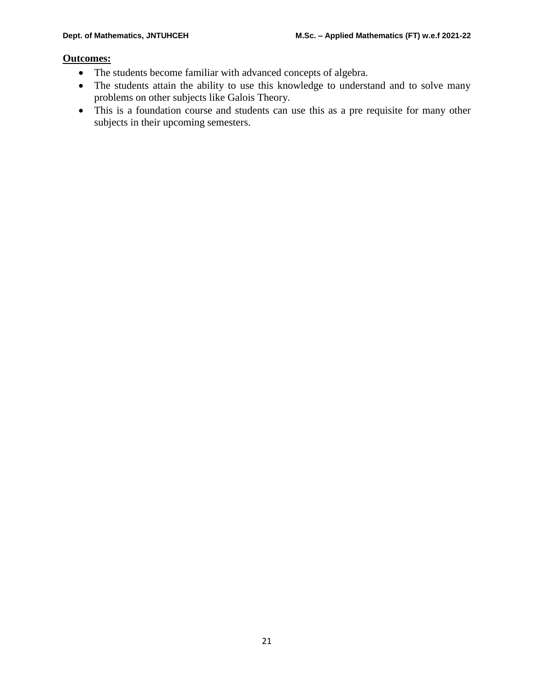# **Outcomes:**

- The students become familiar with advanced concepts of algebra.
- The students attain the ability to use this knowledge to understand and to solve many problems on other subjects like Galois Theory.
- This is a foundation course and students can use this as a pre requisite for many other subjects in their upcoming semesters.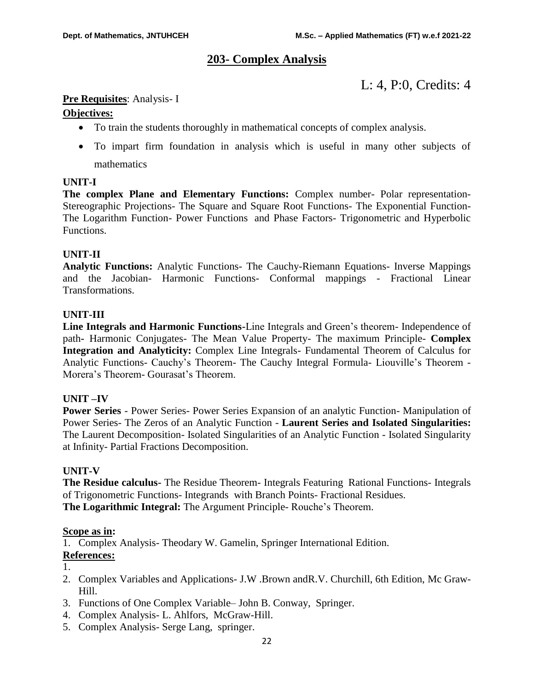# **203- Complex Analysis**

L: 4, P:0, Credits: 4

# **Pre Requisites**: Analysis- I

# **Objectives:**

- To train the students thoroughly in mathematical concepts of complex analysis.
- To impart firm foundation in analysis which is useful in many other subjects of mathematics

# **UNIT-I**

**The complex Plane and Elementary Functions:** Complex number- Polar representation-Stereographic Projections- The Square and Square Root Functions- The Exponential Function-The Logarithm Function- Power Functions and Phase Factors- Trigonometric and Hyperbolic Functions.

# **UNIT-II**

**Analytic Functions:** Analytic Functions- The Cauchy-Riemann Equations- Inverse Mappings and the Jacobian- Harmonic Functions- Conformal mappings - Fractional Linear Transformations.

# **UNIT-III**

**Line Integrals and Harmonic Functions-**Line Integrals and Green's theorem- Independence of path**-** Harmonic Conjugates- The Mean Value Property- The maximum Principle- **Complex Integration and Analyticity:** Complex Line Integrals- Fundamental Theorem of Calculus for Analytic Functions- Cauchy's Theorem- The Cauchy Integral Formula- Liouville's Theorem - Morera's Theorem- Gourasat's Theorem.

# **UNIT –IV**

**Power Series** - Power Series- Power Series Expansion of an analytic Function- Manipulation of Power Series- The Zeros of an Analytic Function - **Laurent Series and Isolated Singularities:**  The Laurent Decomposition- Isolated Singularities of an Analytic Function - Isolated Singularity at Infinity- Partial Fractions Decomposition.

# **UNIT-V**

**The Residue calculus-** The Residue Theorem- Integrals Featuring Rational Functions- Integrals of Trigonometric Functions- Integrands with Branch Points- Fractional Residues. **The Logarithmic Integral:** The Argument Principle- Rouche's Theorem.

# **Scope as in:**

1. Complex Analysis- Theodary W. Gamelin, Springer International Edition.

# **References:**

1.

- 2. Complex Variables and Applications- J.W .Brown andR.V. Churchill, 6th Edition, Mc Graw-Hill.
- 3. Functions of One Complex Variable– John B. Conway, Springer.
- 4. Complex Analysis- L. Ahlfors, McGraw-Hill.
- 5. Complex Analysis- Serge Lang, springer.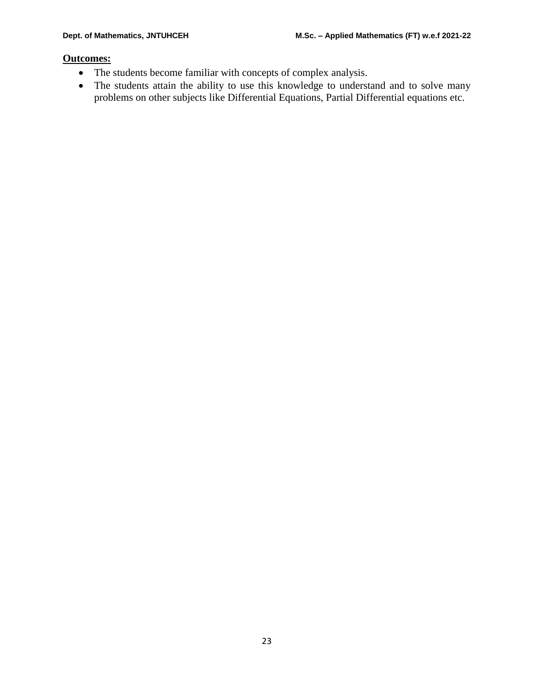# **Outcomes:**

- The students become familiar with concepts of complex analysis.
- The students attain the ability to use this knowledge to understand and to solve many problems on other subjects like Differential Equations, Partial Differential equations etc.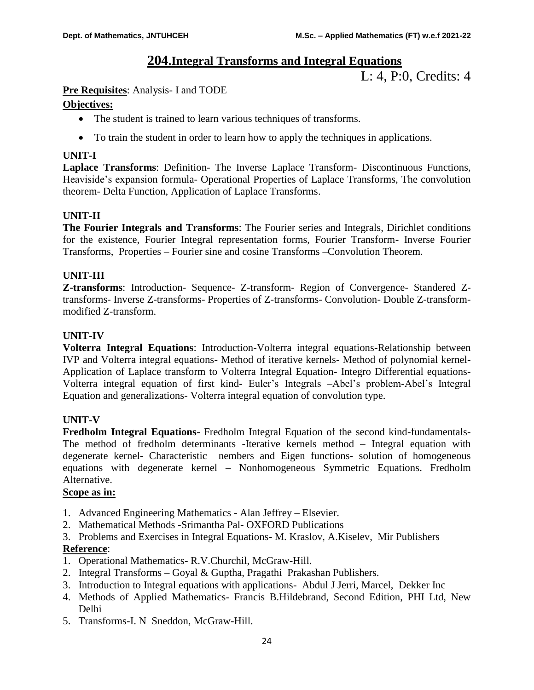# **204.Integral Transforms and Integral Equations**

L: 4, P:0, Credits: 4

# **Pre Requisites**: Analysis- I and TODE

# **Objectives:**

- The student is trained to learn various techniques of transforms.
- To train the student in order to learn how to apply the techniques in applications.

# **UNIT-I**

**Laplace Transforms**: Definition- The Inverse Laplace Transform- Discontinuous Functions, Heaviside's expansion formula- Operational Properties of Laplace Transforms, The convolution theorem- Delta Function, Application of Laplace Transforms.

# **UNIT-II**

**The Fourier Integrals and Transforms**: The Fourier series and Integrals, Dirichlet conditions for the existence, Fourier Integral representation forms, Fourier Transform- Inverse Fourier Transforms, Properties – Fourier sine and cosine Transforms –Convolution Theorem.

# **UNIT**-**III**

**Z-transforms**: Introduction- Sequence- Z-transform- Region of Convergence- Standered Ztransforms- Inverse Z-transforms- Properties of Z-transforms- Convolution- Double Z-transformmodified Z-transform.

# **UNIT-IV**

**Volterra Integral Equations**: Introduction-Volterra integral equations-Relationship between IVP and Volterra integral equations- Method of iterative kernels- Method of polynomial kernel-Application of Laplace transform to Volterra Integral Equation- Integro Differential equations-Volterra integral equation of first kind- Euler's Integrals –Abel's problem-Abel's Integral Equation and generalizations- Volterra integral equation of convolution type.

# **UNIT-V**

**Fredholm Integral Equations**- Fredholm Integral Equation of the second kind-fundamentals-The method of fredholm determinants -Iterative kernels method – Integral equation with degenerate kernel- Characteristic nembers and Eigen functions- solution of homogeneous equations with degenerate kernel – Nonhomogeneous Symmetric Equations. Fredholm Alternative.

# **Scope as in:**

- 1. Advanced Engineering Mathematics Alan Jeffrey Elsevier.
- 2. Mathematical Methods -Srimantha Pal- OXFORD Publications
- 3. Problems and Exercises in Integral Equations- M. Kraslov, A.Kiselev, Mir Publishers **Reference**:
- 1. Operational Mathematics- R.V.Churchil, McGraw-Hill.
- 2. Integral Transforms Goyal & Guptha, Pragathi Prakashan Publishers.
- 3. Introduction to Integral equations with applications- Abdul J Jerri, Marcel, Dekker Inc
- 4. Methods of Applied Mathematics- Francis B.Hildebrand, Second Edition, PHI Ltd, New Delhi
- 5. Transforms-I. N Sneddon, McGraw-Hill.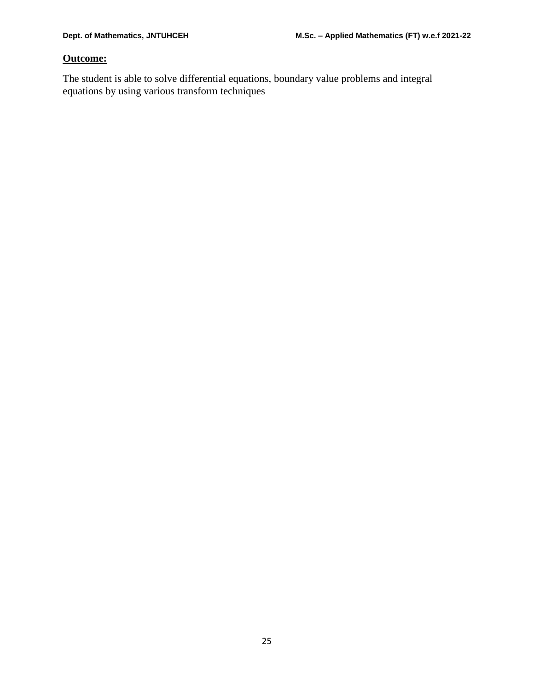# **Outcome:**

The student is able to solve differential equations, boundary value problems and integral equations by using various transform techniques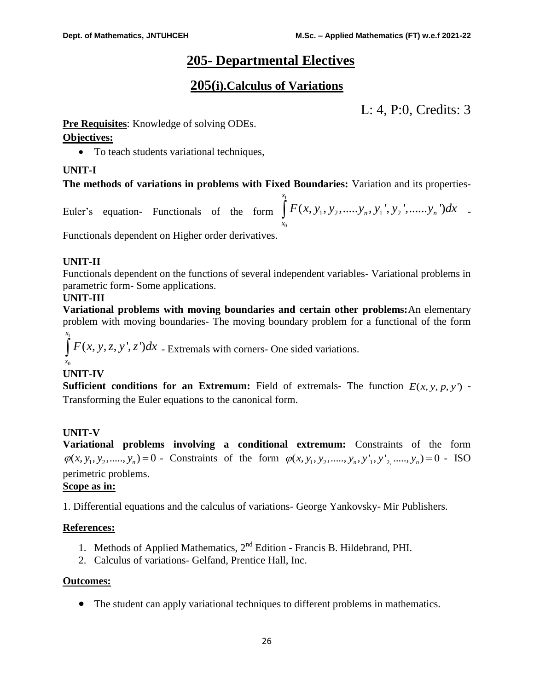# **205- Departmental Electives**

# **205(i).Calculus of Variations**

L: 4, P:0, Credits: 3

**Pre Requisites**: Knowledge of solving ODEs.

# **Objectives:**

• To teach students variational techniques,

# **UNIT-I**

# **The methods of variations in problems with Fixed Boundaries:** Variation and its properties-

Euler's equation- Functionals of the form 1  $\mathbf{0}$  $\int_{a_1}^{x_1} F(x, y_1, y_2, \dots, y_n, y_1', y_2', \dots, y_n')$  $y_1$ <sup>'</sup>,  $y_2$ <sup>'</sup>,......, $y_n$ <sup>'</sup>  $\int_{x_0}^{x_1} F(x, y_1, y_2, \dots, y_n, y_1', y_2', \dots, y_n') dx$  -

Functionals dependent on Higher order derivatives.

# **UNIT-II**

Functionals dependent on the functions of several independent variables- Variational problems in parametric form- Some applications.

# **UNIT-III**

**Variational problems with moving boundaries and certain other problems:**An elementary problem with moving boundaries- The moving boundary problem for a functional of the form

 $\int_{a_1}^{x_1} F(x, y, z, y', z') dx$  - Extremals with corners- One sided variations.  $\mathbf{0}$ *x x*

# **UNIT-IV**

**Sufficient conditions for an Extremum:** Field of extremals- The function  $E(x, y, p, y')$  -Transforming the Euler equations to the canonical form.

# **UNIT-V**

**Variational problems involving a conditional extremum:** Constraints of the form **Variational problems involving a conditional extremum:** Constraints of the form  $\varphi(x, y_1, y_2, \ldots, y_n, y'_1, y'_2, \ldots, y_n) = 0$  - ISO perimetric problems.

# **Scope as in:**

1. Differential equations and the calculus of variations- George Yankovsky- Mir Publishers.

# **References:**

- 1. Methods of Applied Mathematics,  $2<sup>nd</sup>$  Edition Francis B. Hildebrand, PHI.
- 2. Calculus of variations- Gelfand, Prentice Hall, Inc.

# **Outcomes:**

The student can apply variational techniques to different problems in mathematics.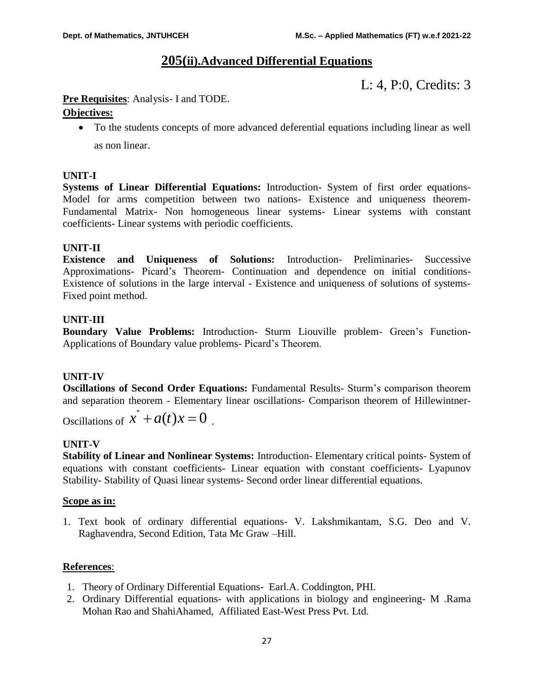# **205(ii).Advanced Differential Equations**

L: 4, P:0, Credits: 3

# **Pre Requisites**: Analysis- I and TODE.

# **Objectives:**

 To the students concepts of more advanced deferential equations including linear as well as non linear.

# **UNIT-I**

**Systems of Linear Differential Equations:** Introduction- System of first order equations-Model for arms competition between two nations- Existence and uniqueness theorem-Fundamental Matrix- Non homogeneous linear systems- Linear systems with constant coefficients- Linear systems with periodic coefficients.

# **UNIT-II**

**Existence and Uniqueness of Solutions:** Introduction- Preliminaries- Successive Approximations- Picard's Theorem- Continuation and dependence on initial conditions-Existence of solutions in the large interval - Existence and uniqueness of solutions of systems-Fixed point method.

# **UNIT-III**

**Boundary Value Problems:** Introduction- Sturm Liouville problem- Green's Function-Applications of Boundary value problems- Picard's Theorem.

# **UNIT-IV**

**Oscillations of Second Order Equations:** Fundamental Results- Sturm's comparison theorem and separation theorem - Elementary linear oscillations- Comparison theorem of Hillewintner-

Oscillations of  $x^{\dagger} + a(t)x = 0$ .

# **UNIT-V**

**Stability of Linear and Nonlinear Systems:** Introduction- Elementary critical points- System of equations with constant coefficients- Linear equation with constant coefficients- Lyapunov Stability- Stability of Quasi linear systems- Second order linear differential equations.

# **Scope as in:**

1. Text book of ordinary differential equations- V. Lakshmikantam, S.G. Deo and V. Raghavendra, Second Edition, Tata Mc Graw –Hill.

# **References**:

- 1. Theory of Ordinary Differential Equations- Earl.A. Coddington, PHI.
- 2. Ordinary Differential equations- with applications in biology and engineering- M .Rama Mohan Rao and ShahiAhamed, Affiliated East-West Press Pvt. Ltd.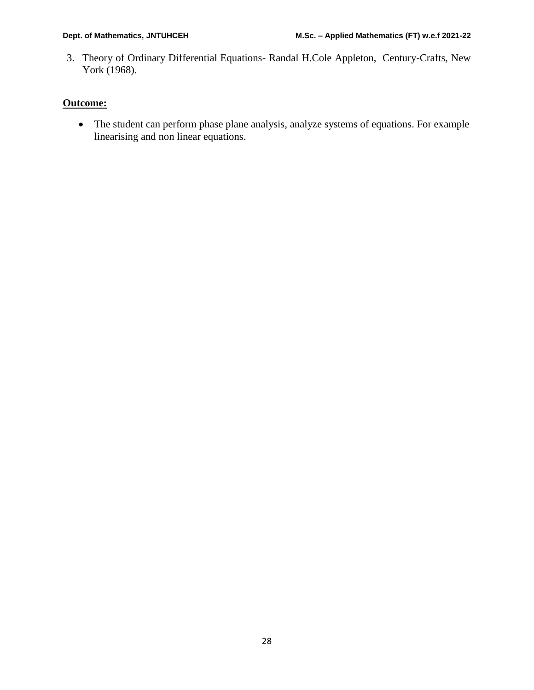3. Theory of Ordinary Differential Equations- Randal H.Cole Appleton, Century-Crafts, New York (1968).

# **Outcome:**

 The student can perform phase plane analysis, analyze systems of equations. For example linearising and non linear equations.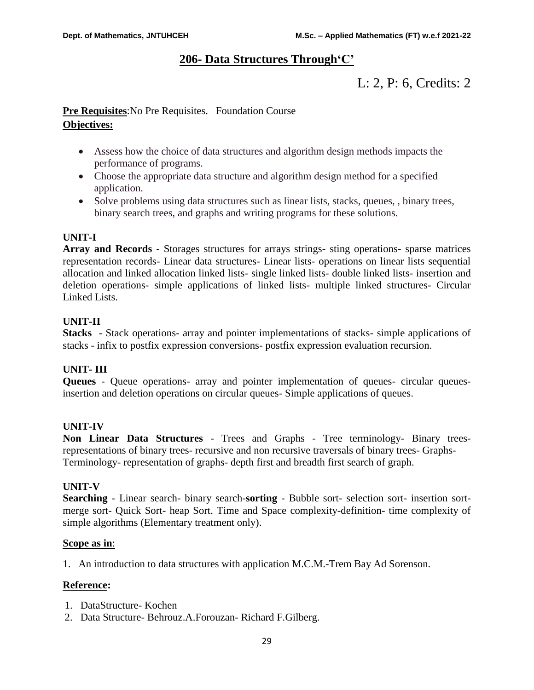# **206- Data Structures Through'C'**

# L: 2, P: 6, Credits: 2

# **Pre Requisites**:No Pre Requisites. Foundation Course **Objectives:**

- Assess how the choice of data structures and algorithm design methods impacts the performance of programs.
- Choose the appropriate data structure and algorithm design method for a specified application.
- Solve problems using data structures such as linear lists, stacks, queues, , binary trees, binary search trees, and graphs and writing programs for these solutions.

# **UNIT-I**

**Array and Records** - Storages structures for arrays strings- sting operations- sparse matrices representation records- Linear data structures- Linear lists- operations on linear lists sequential allocation and linked allocation linked lists- single linked lists- double linked lists- insertion and deletion operations- simple applications of linked lists- multiple linked structures- Circular Linked Lists.

# **UNIT-II**

**Stacks** - Stack operations- array and pointer implementations of stacks- simple applications of stacks - infix to postfix expression conversions- postfix expression evaluation recursion.

# **UNIT- III**

**Queues** - Queue operations- array and pointer implementation of queues- circular queuesinsertion and deletion operations on circular queues- Simple applications of queues.

# **UNIT-IV**

**Non Linear Data Structures** - Trees and Graphs - Tree terminology- Binary treesrepresentations of binary trees- recursive and non recursive traversals of binary trees- Graphs-Terminology- representation of graphs- depth first and breadth first search of graph.

# **UNIT-V**

**Searching** - Linear search- binary search-**sorting** - Bubble sort- selection sort- insertion sortmerge sort- Quick Sort- heap Sort. Time and Space complexity-definition- time complexity of simple algorithms (Elementary treatment only).

# **Scope as in**:

1. An introduction to data structures with application M.C.M.-Trem Bay Ad Sorenson.

# **Reference:**

- 1. DataStructure- Kochen
- 2. Data Structure- Behrouz.A.Forouzan- Richard F.Gilberg.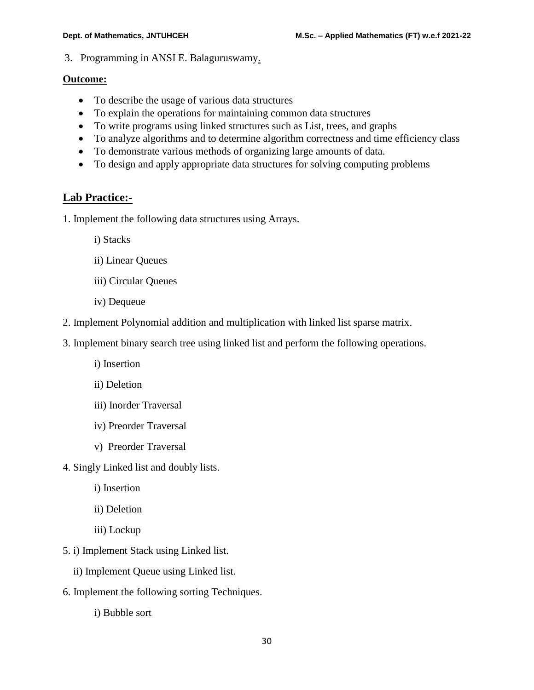3. Programming in ANSI E. Balaguruswamy.

# **Outcome:**

- To describe the usage of various data structures
- To explain the operations for maintaining common data structures
- To write programs using linked structures such as List, trees, and graphs
- To analyze algorithms and to determine algorithm correctness and time efficiency class
- To demonstrate various methods of organizing large amounts of data.
- To design and apply appropriate data structures for solving computing problems

# **Lab Practice:-**

- 1. Implement the following data structures using Arrays.
	- i) Stacks
	- ii) Linear Queues
	- iii) Circular Queues
	- iv) Dequeue
- 2. Implement Polynomial addition and multiplication with linked list sparse matrix.
- 3. Implement binary search tree using linked list and perform the following operations.
	- i) Insertion
	- ii) Deletion
	- iii) Inorder Traversal
	- iv) Preorder Traversal
	- v) Preorder Traversal
- 4. Singly Linked list and doubly lists.
	- i) Insertion
	- ii) Deletion
	- iii) Lockup
- 5. i) Implement Stack using Linked list.
	- ii) Implement Queue using Linked list.
- 6. Implement the following sorting Techniques.
	- i) Bubble sort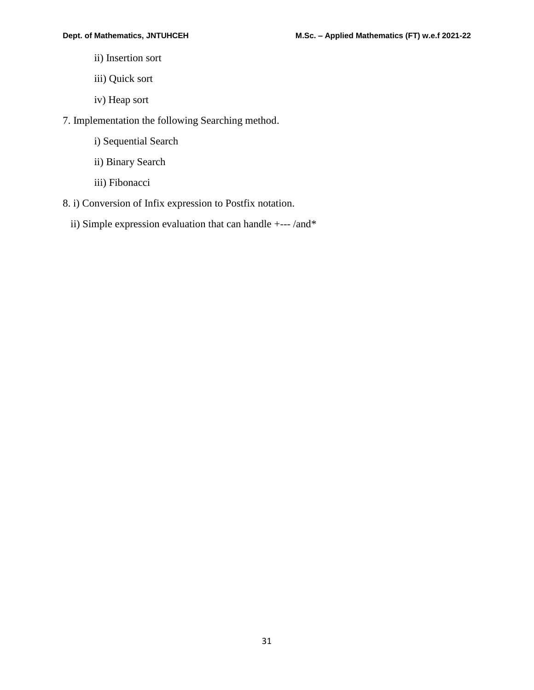- ii) Insertion sort
- iii) Quick sort
- iv) Heap sort
- 7. Implementation the following Searching method.
	- i) Sequential Search
	- ii) Binary Search
	- iii) Fibonacci
- 8. i) Conversion of Infix expression to Postfix notation.
	- ii) Simple expression evaluation that can handle +--- /and\*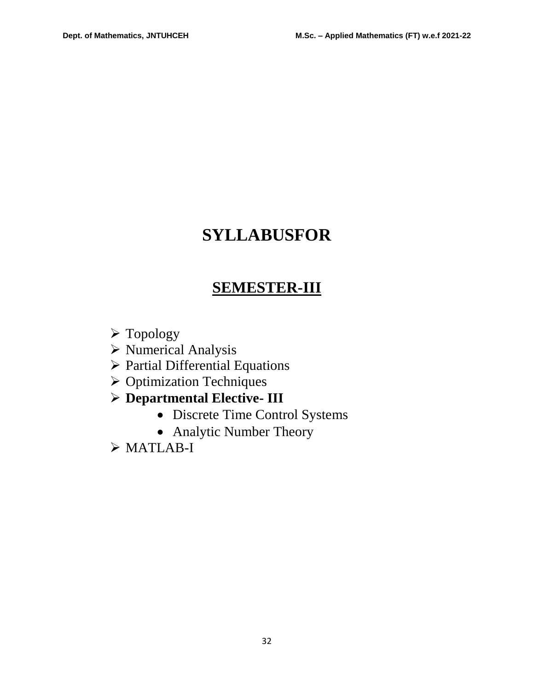# **SYLLABUSFOR**

# **SEMESTER-III**

- Topology
- Numerical Analysis
- $\triangleright$  Partial Differential Equations
- $\triangleright$  Optimization Techniques
- **Departmental Elective- III**
	- Discrete Time Control Systems
	- Analytic Number Theory
- $>$ MATLAB-I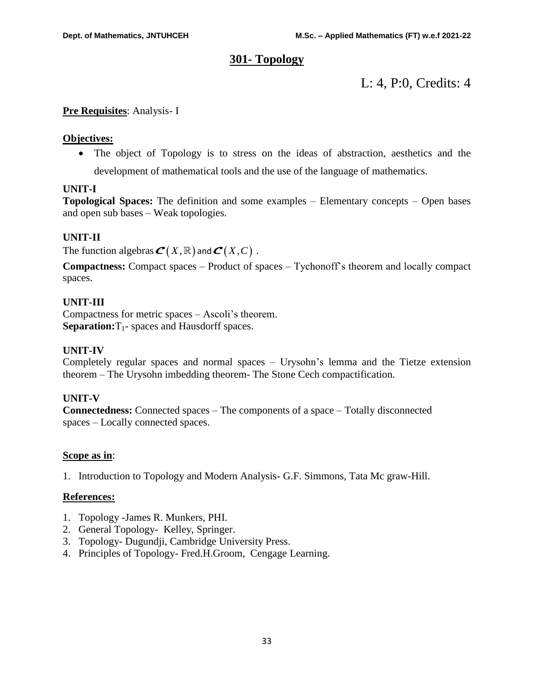# **301- Topology**

L: 4, P:0, Credits: 4

# **Pre Requisites**: Analysis- I

# **Objectives:**

• The object of Topology is to stress on the ideas of abstraction, aesthetics and the development of mathematical tools and the use of the language of mathematics.

# **UNIT-I**

**Topological Spaces:** The definition and some examples – Elementary concepts – Open bases and open sub bases – Weak topologies.

# **UNIT-II**

The function algebras  $\boldsymbol{\mathcal{C}}(X,\mathbb{R})$  and  $\boldsymbol{\mathcal{C}}(X,C)$  .

**Compactness:** Compact spaces – Product of spaces – Tychonoff's theorem and locally compact spaces.

# **UNIT-III**

Compactness for metric spaces – Ascoli's theorem. **Separation:** T<sub>1</sub>- spaces and Hausdorff spaces.

# **UNIT-IV**

Completely regular spaces and normal spaces – Urysohn's lemma and the Tietze extension theorem – The Urysohn imbedding theorem- The Stone Cech compactification.

# **UNIT-V**

**Connectedness:** Connected spaces – The components of a space – Totally disconnected spaces – Locally connected spaces.

# **Scope as in**:

1. Introduction to Topology and Modern Analysis- G.F. Simmons, Tata Mc graw-Hill.

# **References:**

- 1. Topology -James R. Munkers, PHI.
- 2. General Topology- Kelley, Springer.
- 3. Topology- Dugundji, Cambridge University Press.
- 4. Principles of Topology- Fred.H.Groom, Cengage Learning.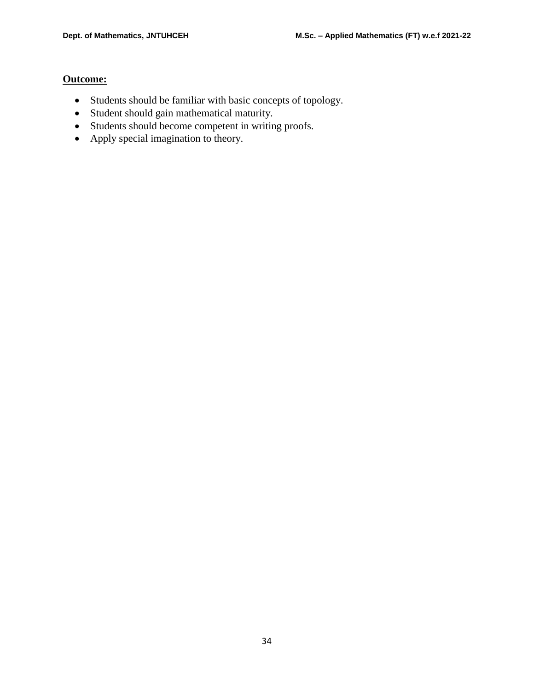# **Outcome:**

- Students should be familiar with basic concepts of topology.
- Student should gain mathematical maturity.
- Students should become competent in writing proofs.
- Apply special imagination to theory.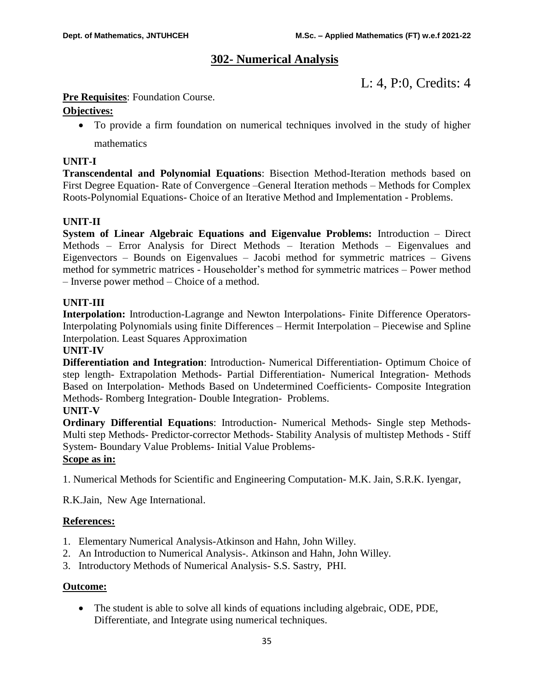# **302- Numerical Analysis**

L: 4, P:0, Credits: 4

# **Pre Requisites:** Foundation Course.

# **Objectives:**

 To provide a firm foundation on numerical techniques involved in the study of higher mathematics

# **UNIT-I**

**Transcendental and Polynomial Equations**: Bisection Method-Iteration methods based on First Degree Equation- Rate of Convergence –General Iteration methods – Methods for Complex Roots-Polynomial Equations- Choice of an Iterative Method and Implementation - Problems.

# **UNIT-II**

**System of Linear Algebraic Equations and Eigenvalue Problems:** Introduction – Direct Methods – Error Analysis for Direct Methods – Iteration Methods – Eigenvalues and Eigenvectors – Bounds on Eigenvalues – Jacobi method for symmetric matrices – Givens method for symmetric matrices - Householder's method for symmetric matrices – Power method – Inverse power method – Choice of a method.

# **UNIT-III**

**Interpolation:** Introduction-Lagrange and Newton Interpolations- Finite Difference Operators-Interpolating Polynomials using finite Differences – Hermit Interpolation – Piecewise and Spline Interpolation. Least Squares Approximation

# **UNIT-IV**

**Differentiation and Integration**: Introduction- Numerical Differentiation- Optimum Choice of step length- Extrapolation Methods- Partial Differentiation- Numerical Integration- Methods Based on Interpolation- Methods Based on Undetermined Coefficients- Composite Integration Methods- Romberg Integration- Double Integration- Problems.

# **UNIT-V**

**Ordinary Differential Equations**: Introduction- Numerical Methods- Single step Methods-Multi step Methods- Predictor-corrector Methods- Stability Analysis of multistep Methods - Stiff System- Boundary Value Problems- Initial Value Problems-

#### **Scope as in:**

1. Numerical Methods for Scientific and Engineering Computation- M.K. Jain, S.R.K. Iyengar,

R.K.Jain, New Age International.

# **References:**

- 1. Elementary Numerical Analysis-Atkinson and Hahn, John Willey.
- 2. An Introduction to Numerical Analysis-. Atkinson and Hahn, John Willey.
- 3. Introductory Methods of Numerical Analysis- S.S. Sastry, PHI.

# **Outcome:**

 The student is able to solve all kinds of equations including algebraic, ODE, PDE, Differentiate, and Integrate using numerical techniques.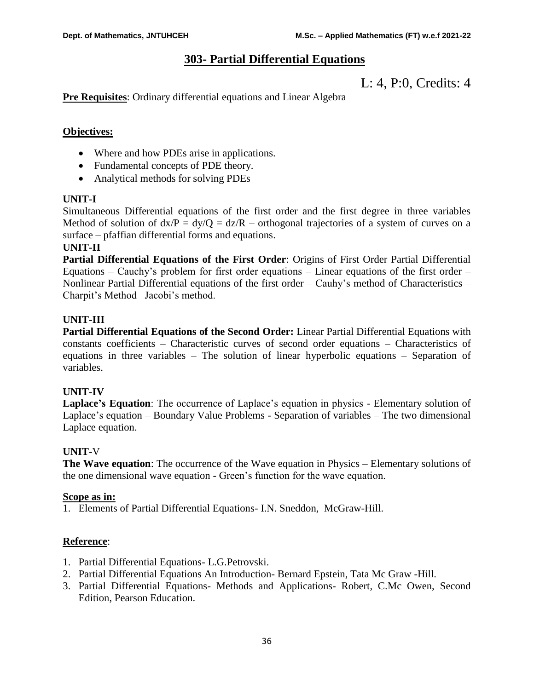# **303- Partial Differential Equations**

L: 4, P:0, Credits: 4

**Pre Requisites**: Ordinary differential equations and Linear Algebra

# **Objectives:**

- Where and how PDEs arise in applications.
- Fundamental concepts of PDE theory.
- Analytical methods for solving PDEs

# **UNIT-I**

Simultaneous Differential equations of the first order and the first degree in three variables Method of solution of  $dx/P = dy/Q = dz/R$  – orthogonal trajectories of a system of curves on a surface – pfaffian differential forms and equations.

#### **UNIT-II**

**Partial Differential Equations of the First Order**: Origins of First Order Partial Differential Equations – Cauchy's problem for first order equations – Linear equations of the first order – Nonlinear Partial Differential equations of the first order – Cauhy's method of Characteristics – Charpit's Method –Jacobi's method.

# **UNIT-III**

**Partial Differential Equations of the Second Order:** Linear Partial Differential Equations with constants coefficients – Characteristic curves of second order equations – Characteristics of equations in three variables – The solution of linear hyperbolic equations – Separation of variables.

# **UNIT-IV**

**Laplace's Equation**: The occurrence of Laplace's equation in physics - Elementary solution of Laplace's equation – Boundary Value Problems - Separation of variables – The two dimensional Laplace equation.

# **UNIT**-V

**The Wave equation**: The occurrence of the Wave equation in Physics – Elementary solutions of the one dimensional wave equation - Green's function for the wave equation.

# **Scope as in:**

1. Elements of Partial Differential Equations- I.N. Sneddon, McGraw-Hill.

# **Reference**:

- 1. Partial Differential Equations- L.G.Petrovski.
- 2. Partial Differential Equations An Introduction- Bernard Epstein, Tata Mc Graw -Hill.
- 3. Partial Differential Equations- Methods and Applications- Robert, C.Mc Owen, Second Edition, Pearson Education.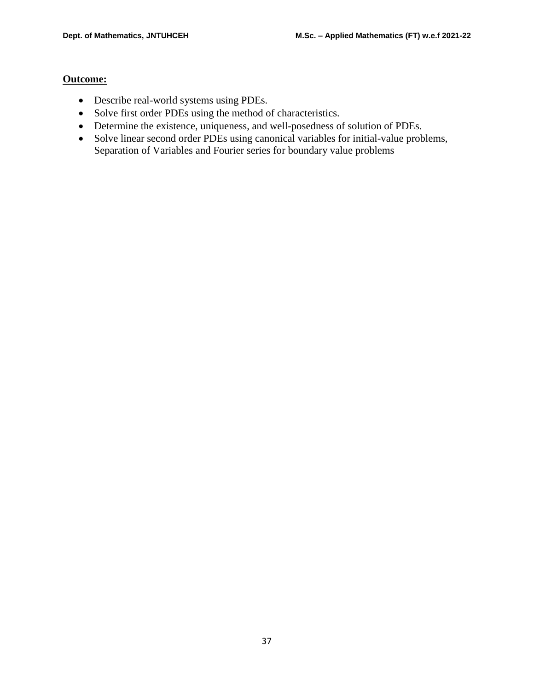# **Outcome:**

- Describe real-world systems using PDEs.
- Solve first order PDEs using the method of characteristics.
- Determine the existence, uniqueness, and well-posedness of solution of PDEs.
- Solve linear second order PDEs using canonical variables for initial-value problems, Separation of Variables and Fourier series for boundary value problems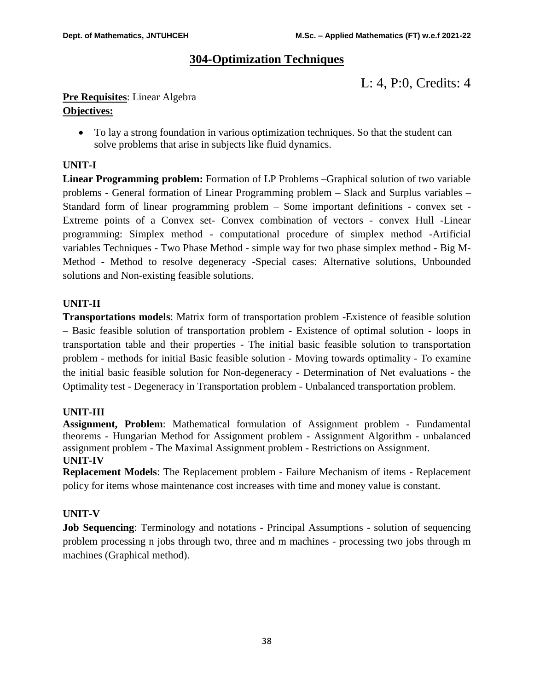# **304-Optimization Techniques**

L: 4, P:0, Credits: 4

# **Pre Requisites**: Linear Algebra **Objectives:**

 To lay a strong foundation in various optimization techniques. So that the student can solve problems that arise in subjects like fluid dynamics.

# **UNIT-I**

**Linear Programming problem:** Formation of LP Problems –Graphical solution of two variable problems - General formation of Linear Programming problem – Slack and Surplus variables – Standard form of linear programming problem – Some important definitions - convex set - Extreme points of a Convex set- Convex combination of vectors - convex Hull -Linear programming: Simplex method - computational procedure of simplex method -Artificial variables Techniques - Two Phase Method - simple way for two phase simplex method - Big M-Method - Method to resolve degeneracy -Special cases: Alternative solutions, Unbounded solutions and Non-existing feasible solutions.

# **UNIT-II**

**Transportations models**: Matrix form of transportation problem -Existence of feasible solution – Basic feasible solution of transportation problem - Existence of optimal solution - loops in transportation table and their properties - The initial basic feasible solution to transportation problem - methods for initial Basic feasible solution - Moving towards optimality - To examine the initial basic feasible solution for Non-degeneracy - Determination of Net evaluations - the Optimality test - Degeneracy in Transportation problem - Unbalanced transportation problem.

# **UNIT-III**

**Assignment, Problem**: Mathematical formulation of Assignment problem - Fundamental theorems - Hungarian Method for Assignment problem - Assignment Algorithm - unbalanced assignment problem - The Maximal Assignment problem - Restrictions on Assignment. **UNIT-IV**

**Replacement Models**: The Replacement problem - Failure Mechanism of items - Replacement policy for items whose maintenance cost increases with time and money value is constant.

# **UNIT-V**

**Job Sequencing**: Terminology and notations - Principal Assumptions - solution of sequencing problem processing n jobs through two, three and m machines - processing two jobs through m machines (Graphical method).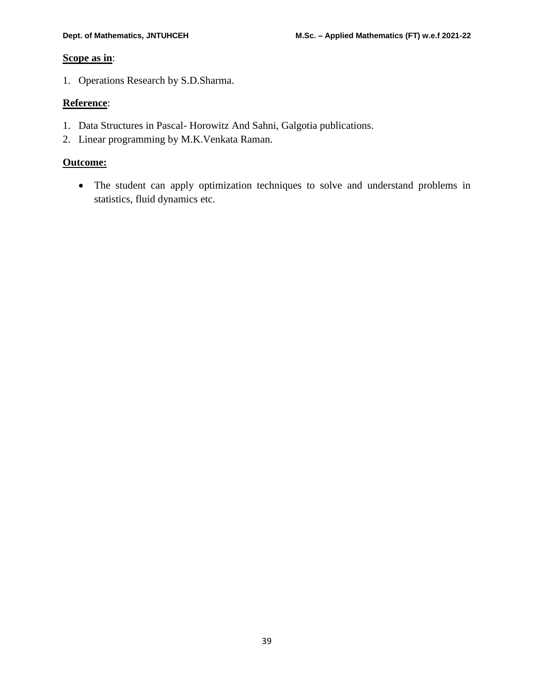# **Scope as in**:

1. Operations Research by S.D.Sharma.

# **Reference**:

- 1. Data Structures in Pascal- Horowitz And Sahni, Galgotia publications.
- 2. Linear programming by M.K.Venkata Raman.

# **Outcome:**

 The student can apply optimization techniques to solve and understand problems in statistics, fluid dynamics etc.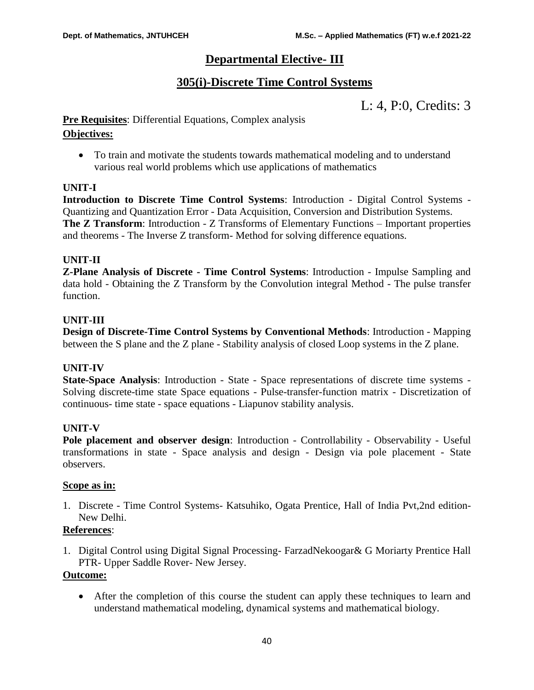# **Departmental Elective- III**

# **305(i)-Discrete Time Control Systems**

L: 4, P:0, Credits: 3

# **Pre Requisites**: Differential Equations, Complex analysis

# **Objectives:**

 To train and motivate the students towards mathematical modeling and to understand various real world problems which use applications of mathematics

# **UNIT-I**

**Introduction to Discrete Time Control Systems**: Introduction - Digital Control Systems - Quantizing and Quantization Error - Data Acquisition, Conversion and Distribution Systems. **The Z Transform:** Introduction - Z Transforms of Elementary Functions – Important properties and theorems - The Inverse Z transform- Method for solving difference equations.

# **UNIT-II**

**Z-Plane Analysis of Discrete - Time Control Systems**: Introduction - Impulse Sampling and data hold - Obtaining the Z Transform by the Convolution integral Method - The pulse transfer function.

# **UNIT-III**

**Design of Discrete-Time Control Systems by Conventional Methods**: Introduction - Mapping between the S plane and the Z plane - Stability analysis of closed Loop systems in the Z plane.

# **UNIT-IV**

**State-Space Analysis**: Introduction - State - Space representations of discrete time systems - Solving discrete-time state Space equations - Pulse-transfer-function matrix - Discretization of continuous- time state - space equations - Liapunov stability analysis.

# **UNIT-V**

**Pole placement and observer design**: Introduction - Controllability - Observability - Useful transformations in state - Space analysis and design - Design via pole placement - State observers.

# **Scope as in:**

1. Discrete - Time Control Systems- Katsuhiko, Ogata Prentice, Hall of India Pvt,2nd edition-New Delhi.

# **References**:

1. Digital Control using Digital Signal Processing- FarzadNekoogar& G Moriarty Prentice Hall PTR- Upper Saddle Rover- New Jersey.

# **Outcome:**

 After the completion of this course the student can apply these techniques to learn and understand mathematical modeling, dynamical systems and mathematical biology.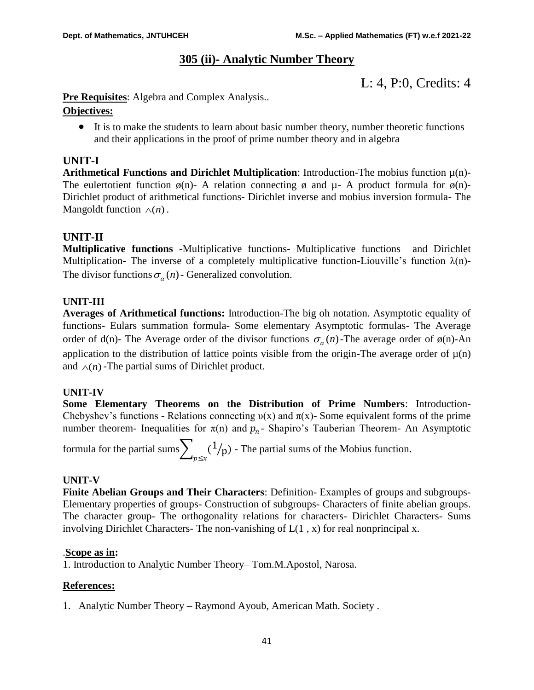# **305 (ii)- Analytic Number Theory**

L: 4, P:0, Credits: 4

**Pre Requisites:** Algebra and Complex Analysis..

# **Objectives:**

 It is to make the students to learn about basic number theory, number theoretic functions and their applications in the proof of prime number theory and in algebra

# **UNIT-I**

**Arithmetical Functions and Dirichlet Multiplication**: Introduction-The mobius function µ(n)- The eulertotient function  $\phi(n)$ - A relation connecting  $\phi$  and  $\mu$ - A product formula for  $\phi(n)$ -Dirichlet product of arithmetical functions- Dirichlet inverse and mobius inversion formula- The Mangoldt function  $\wedge$ (*n*).

# **UNIT-II**

**Multiplicative functions** -Multiplicative functions- Multiplicative functions and Dirichlet Multiplication- The inverse of a completely multiplicative function-Liouville's function  $\lambda(n)$ -The divisor functions  $\sigma_{\alpha}(n)$  - Generalized convolution.

# **UNIT-III**

**Averages of Arithmetical functions:** Introduction-The big oh notation. Asymptotic equality of functions- Eulars summation formula- Some elementary Asymptotic formulas- The Average order of d(n)- The Average order of the divisor functions  $\sigma_{\alpha}(n)$ -The average order of  $\phi(n)$ -An application to the distribution of lattice points visible from the origin-The average order of  $\mu(n)$ and  $\wedge$ (*n*) - The partial sums of Dirichlet product.

# **UNIT-IV**

**Some Elementary Theorems on the Distribution of Prime Numbers**: Introduction-Chebyshev's functions - Relations connecting  $v(x)$  and  $\pi(x)$ - Some equivalent forms of the prime number theorem- Inequalities for  $\pi(n)$  and  $p_n$ - Shapiro's Tauberian Theorem- An Asymptotic

formula for the partial sums $\sum_{p\leq x} (1/p)$ - The partial sums of the Mobius function.

# **UNIT-V**

**Finite Abelian Groups and Their Characters**: Definition- Examples of groups and subgroups-Elementary properties of groups- Construction of subgroups- Characters of finite abelian groups. The character group- The orthogonality relations for characters- Dirichlet Characters- Sums involving Dirichlet Characters- The non-vanishing of  $L(1, x)$  for real nonprincipal x.

# .**Scope as in:**

1. Introduction to Analytic Number Theory– Tom.M.Apostol, Narosa.

# **References:**

1. Analytic Number Theory – Raymond Ayoub, American Math. Society .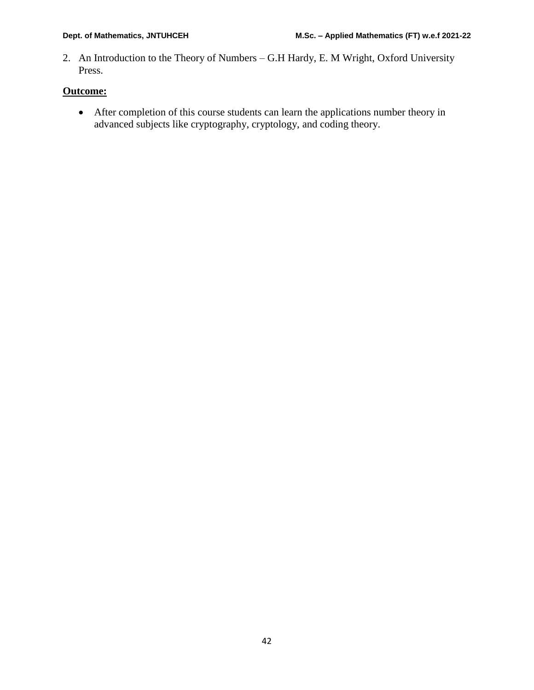2. An Introduction to the Theory of Numbers – G.H Hardy, E. M Wright, Oxford University Press.

# **Outcome:**

 After completion of this course students can learn the applications number theory in advanced subjects like cryptography, cryptology, and coding theory.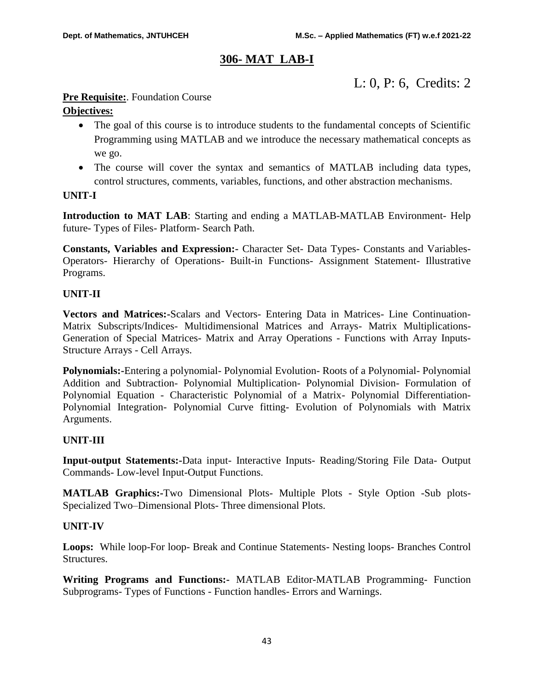# **306- MAT LAB-I**

# L: 0, P: 6, Credits: 2

# **Pre Requisite:**. Foundation Course

# **Objectives:**

- The goal of this course is to introduce students to the fundamental concepts of Scientific Programming using MATLAB and we introduce the necessary mathematical concepts as we go.
- The course will cover the syntax and semantics of MATLAB including data types, control structures, comments, variables, functions, and other abstraction mechanisms.

# **UNIT-I**

**Introduction to MAT LAB**: Starting and ending a MATLAB-MATLAB Environment- Help future- Types of Files- Platform- Search Path.

**Constants, Variables and Expression:-** Character Set- Data Types- Constants and Variables-Operators- Hierarchy of Operations- Built-in Functions- Assignment Statement- Illustrative Programs.

# **UNIT-II**

**Vectors and Matrices:-**Scalars and Vectors- Entering Data in Matrices- Line Continuation-Matrix Subscripts/Indices- Multidimensional Matrices and Arrays- Matrix Multiplications-Generation of Special Matrices- Matrix and Array Operations - Functions with Array Inputs-Structure Arrays - Cell Arrays.

**Polynomials:-**Entering a polynomial- Polynomial Evolution- Roots of a Polynomial- Polynomial Addition and Subtraction- Polynomial Multiplication- Polynomial Division- Formulation of Polynomial Equation - Characteristic Polynomial of a Matrix- Polynomial Differentiation-Polynomial Integration- Polynomial Curve fitting- Evolution of Polynomials with Matrix Arguments.

# **UNIT-III**

**Input-output Statements:-**Data input- Interactive Inputs- Reading/Storing File Data- Output Commands- Low-level Input-Output Functions.

**MATLAB Graphics:-**Two Dimensional Plots- Multiple Plots - Style Option -Sub plots-Specialized Two–Dimensional Plots- Three dimensional Plots.

# **UNIT-IV**

**Loops:** While loop-For loop- Break and Continue Statements- Nesting loops- Branches Control Structures.

**Writing Programs and Functions:-** MATLAB Editor-MATLAB Programming- Function Subprograms- Types of Functions - Function handles- Errors and Warnings.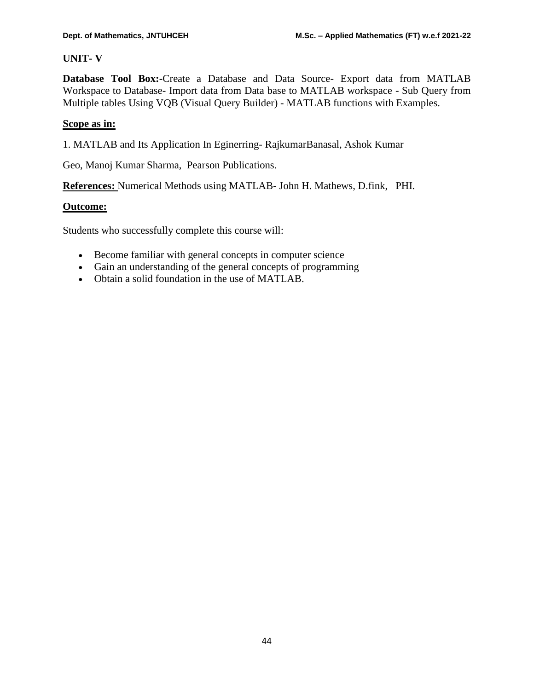# **UNIT- V**

**Database Tool Box:-**Create a Database and Data Source- Export data from MATLAB Workspace to Database- Import data from Data base to MATLAB workspace - Sub Query from Multiple tables Using VQB (Visual Query Builder) - MATLAB functions with Examples.

# **Scope as in:**

1. MATLAB and Its Application In Eginerring- RajkumarBanasal, Ashok Kumar

Geo, Manoj Kumar Sharma, Pearson Publications.

**References:** Numerical Methods using MATLAB- John H. Mathews, D.fink, PHI.

# **Outcome:**

Students who successfully complete this course will:

- Become familiar with general concepts in computer science
- Gain an understanding of the general concepts of programming
- Obtain a solid foundation in the use of MATLAB.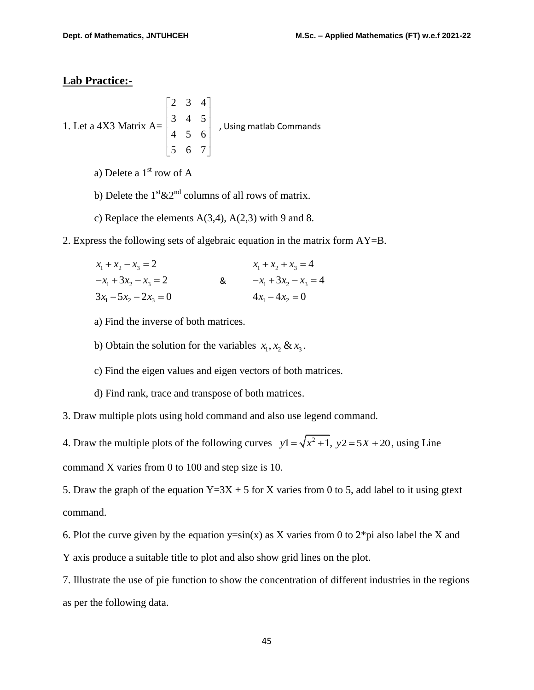# **Lab Practice:-**

1. Let a 4X3 Matrix 
$$
A = \begin{bmatrix} 2 & 3 & 4 \\ 3 & 4 & 5 \\ 4 & 5 & 6 \\ 5 & 6 & 7 \end{bmatrix}
$$
, Using matlab Commons

a) Delete a  $1<sup>st</sup>$  row of A

- b) Delete the  $1^{st} \& 2^{nd}$  columns of all rows of matrix.
- c) Replace the elements  $A(3,4)$ ,  $A(2,3)$  with 9 and 8.
- 2. Express the following sets of algebraic equation in the matrix form AY=B.

| $x_1 + x_2 - x_3 = 2$    |   | $x_1 + x_2 + x_3 = 4$   |
|--------------------------|---|-------------------------|
| $-x_1 + 3x_2 - x_3 = 2$  | & | $-x_1 + 3x_2 - x_3 = 4$ |
| $3x_1 - 5x_2 - 2x_3 = 0$ |   | $4x_1 - 4x_2 = 0$       |

- a) Find the inverse of both matrices.
- b) Obtain the solution for the variables  $x_1, x_2 \& x_3$ .
- c) Find the eigen values and eigen vectors of both matrices.
- d) Find rank, trace and transpose of both matrices.

3. Draw multiple plots using hold command and also use legend command.

4. Draw the multiple plots of the following curves  $y1 = \sqrt{x^2 + 1}$ ,  $y2 = 5X + 20$ , using Line command X varies from 0 to 100 and step size is 10.

5. Draw the graph of the equation  $Y=3X + 5$  for X varies from 0 to 5, add label to it using gtext command.

6. Plot the curve given by the equation  $y=sin(x)$  as X varies from 0 to  $2*pi$  also label the X and Y axis produce a suitable title to plot and also show grid lines on the plot.

7. Illustrate the use of pie function to show the concentration of different industries in the regions as per the following data.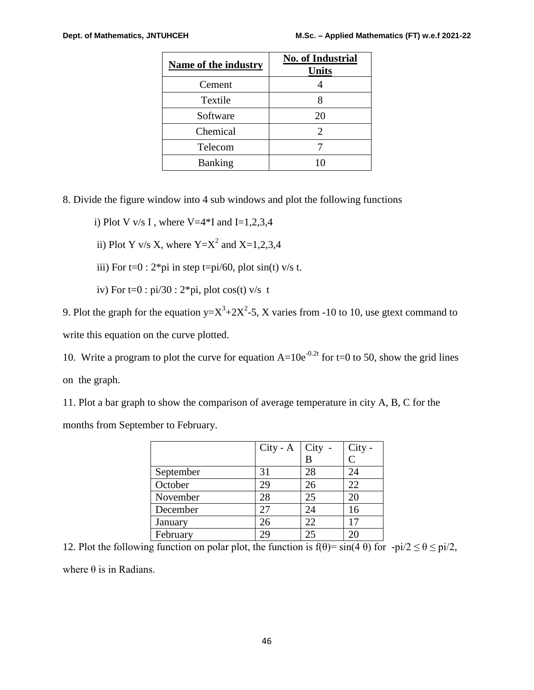| <b>Name of the industry</b> | <b>No. of Industrial</b><br><b>Units</b> |
|-----------------------------|------------------------------------------|
| Cement                      |                                          |
| Textile                     |                                          |
| Software                    | 20                                       |
| Chemical                    | 2                                        |
| Telecom                     |                                          |
| <b>Banking</b>              | 10                                       |

8. Divide the figure window into 4 sub windows and plot the following functions

i) Plot V v/s I, where V=4 $*$ I and I=1,2,3,4

ii) Plot Y v/s X, where  $Y=X^2$  and  $X=1,2,3,4$ 

iii) For  $t=0$ :  $2*pi$  in step  $t=pi/60$ , plot  $sin(t)$  v/s t.

iv) For  $t=0$ : pi/30:  $2*pi$ , plot cos(t) v/s t

9. Plot the graph for the equation  $y = X^3 + 2X^2 - 5$ , X varies from -10 to 10, use gtext command to write this equation on the curve plotted.

10. Write a program to plot the curve for equation  $A=10e^{-0.2t}$  for t=0 to 50, show the grid lines on the graph.

11. Plot a bar graph to show the comparison of average temperature in city A, B, C for the months from September to February.

|           | $City - A$     | $\vert$ City - | City - |
|-----------|----------------|----------------|--------|
|           |                |                | ⊂      |
| September | 31             | 28             | 24     |
| October   | 29             | 26             | 22     |
| November  | 28             | 25             | 20     |
| December  | 27             | 24             | 16     |
| January   | 26             | 22             |        |
| February  | $\overline{C}$ | 25             |        |

12. Plot the following function on polar plot, the function is  $f(\theta) = \sin(4 \theta)$  for  $-pi/2 \le \theta \le \pi/2$ , where  $\theta$  is in Radians.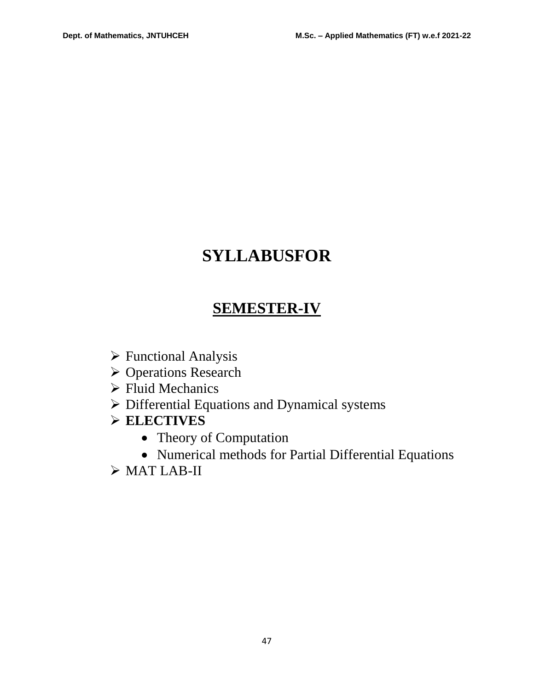# **SYLLABUSFOR**

# **SEMESTER-IV**

- Functional Analysis
- Operations Research
- $\triangleright$  Fluid Mechanics
- Differential Equations and Dynamical systems
- **ELECTIVES**
	- Theory of Computation
	- Numerical methods for Partial Differential Equations
- $\triangleright$  MAT LAB-II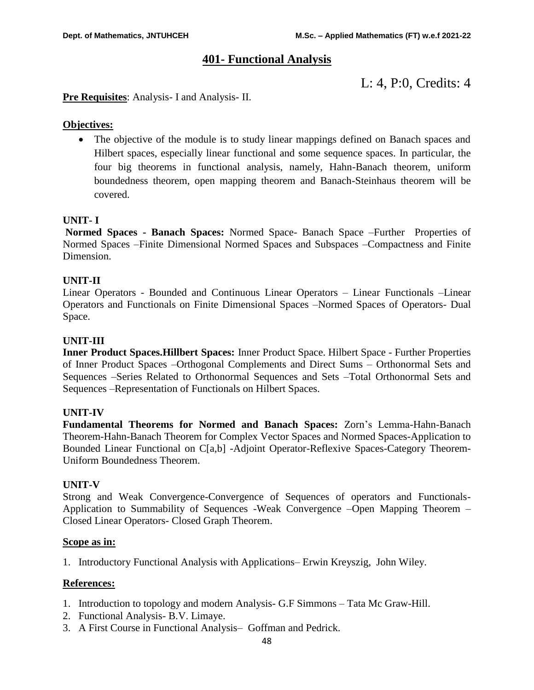# **401- Functional Analysis**

L: 4, P:0, Credits: 4

#### **Pre Requisites**: Analysis- I and Analysis- II.

#### **Objectives:**

• The objective of the module is to study linear mappings defined on Banach spaces and Hilbert spaces, especially linear functional and some sequence spaces. In particular, the four big theorems in functional analysis, namely, Hahn-Banach theorem, uniform boundedness theorem, open mapping theorem and Banach-Steinhaus theorem will be covered.

#### **UNIT- I**

**Normed Spaces - Banach Spaces:** Normed Space- Banach Space –Further Properties of Normed Spaces –Finite Dimensional Normed Spaces and Subspaces –Compactness and Finite Dimension.

#### **UNIT-II**

Linear Operators - Bounded and Continuous Linear Operators – Linear Functionals –Linear Operators and Functionals on Finite Dimensional Spaces –Normed Spaces of Operators- Dual Space.

#### **UNIT-III**

**Inner Product Spaces.Hillbert Spaces:** Inner Product Space. Hilbert Space - Further Properties of Inner Product Spaces –Orthogonal Complements and Direct Sums – Orthonormal Sets and Sequences –Series Related to Orthonormal Sequences and Sets –Total Orthonormal Sets and Sequences –Representation of Functionals on Hilbert Spaces.

#### **UNIT-IV**

**Fundamental Theorems for Normed and Banach Spaces:** Zorn's Lemma-Hahn-Banach Theorem-Hahn-Banach Theorem for Complex Vector Spaces and Normed Spaces-Application to Bounded Linear Functional on C[a,b] -Adjoint Operator-Reflexive Spaces-Category Theorem-Uniform Boundedness Theorem.

#### **UNIT-V**

Strong and Weak Convergence-Convergence of Sequences of operators and Functionals-Application to Summability of Sequences -Weak Convergence –Open Mapping Theorem – Closed Linear Operators- Closed Graph Theorem.

#### **Scope as in:**

1. Introductory Functional Analysis with Applications– Erwin Kreyszig, John Wiley.

#### **References:**

- 1. Introduction to topology and modern Analysis- G.F Simmons Tata Mc Graw-Hill.
- 2. Functional Analysis- B.V. Limaye.
- 3. A First Course in Functional Analysis– Goffman and Pedrick.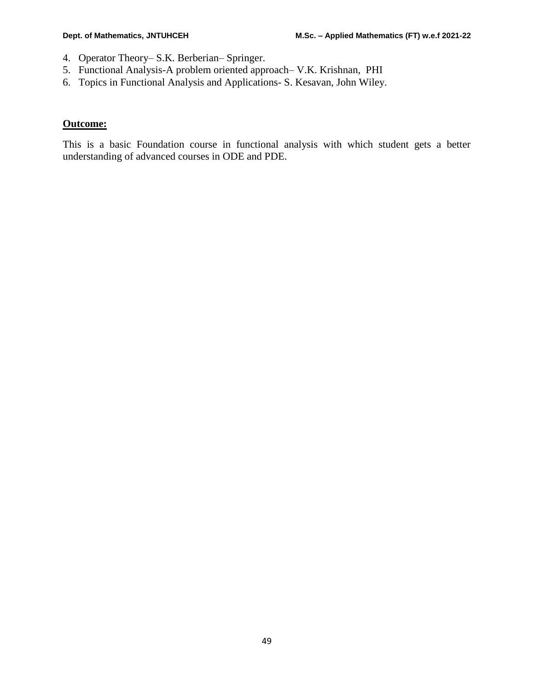- 4. Operator Theory– S.K. Berberian– Springer.
- 5. Functional Analysis-A problem oriented approach– V.K. Krishnan, PHI
- 6. Topics in Functional Analysis and Applications- S. Kesavan, John Wiley.

#### **Outcome:**

This is a basic Foundation course in functional analysis with which student gets a better understanding of advanced courses in ODE and PDE.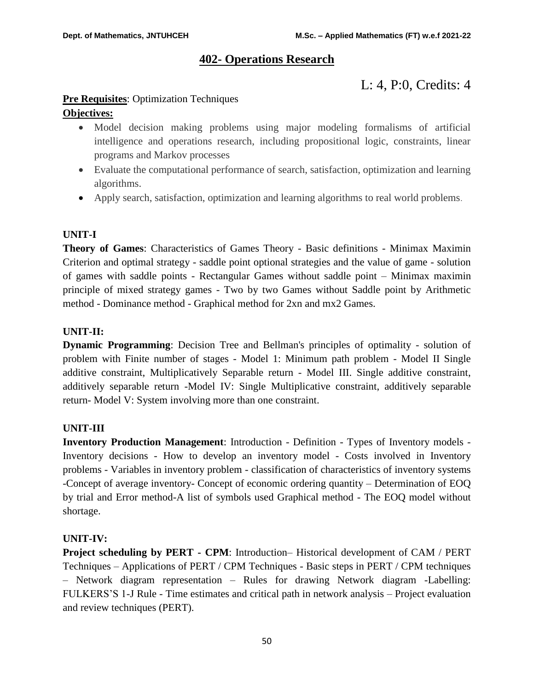# **402- Operations Research**

L: 4, P:0, Credits: 4

# **Pre Requisites**: Optimization Techniques

# **Objectives:**

- Model decision making problems using major modeling formalisms of artificial intelligence and operations research, including propositional logic, constraints, linear programs and Markov processes
- Evaluate the computational performance of search, satisfaction, optimization and learning algorithms.
- Apply search, satisfaction, optimization and learning algorithms to real world problems.

# **UNIT-I**

**Theory of Games**: Characteristics of Games Theory - Basic definitions - Minimax Maximin Criterion and optimal strategy - saddle point optional strategies and the value of game - solution of games with saddle points - Rectangular Games without saddle point – Minimax maximin principle of mixed strategy games - Two by two Games without Saddle point by Arithmetic method - Dominance method - Graphical method for 2xn and mx2 Games.

# **UNIT-II:**

**Dynamic Programming**: Decision Tree and Bellman's principles of optimality - solution of problem with Finite number of stages - Model 1: Minimum path problem - Model II Single additive constraint, Multiplicatively Separable return - Model III. Single additive constraint, additively separable return -Model IV: Single Multiplicative constraint, additively separable return- Model V: System involving more than one constraint.

# **UNIT-III**

**Inventory Production Management**: Introduction - Definition - Types of Inventory models - Inventory decisions - How to develop an inventory model - Costs involved in Inventory problems - Variables in inventory problem - classification of characteristics of inventory systems -Concept of average inventory- Concept of economic ordering quantity – Determination of EOQ by trial and Error method-A list of symbols used Graphical method - The EOQ model without shortage.

# **UNIT-IV:**

**Project scheduling by PERT - CPM**: Introduction– Historical development of CAM / PERT Techniques – Applications of PERT / CPM Techniques - Basic steps in PERT / CPM techniques – Network diagram representation – Rules for drawing Network diagram -Labelling: FULKERS'S 1-J Rule - Time estimates and critical path in network analysis – Project evaluation and review techniques (PERT).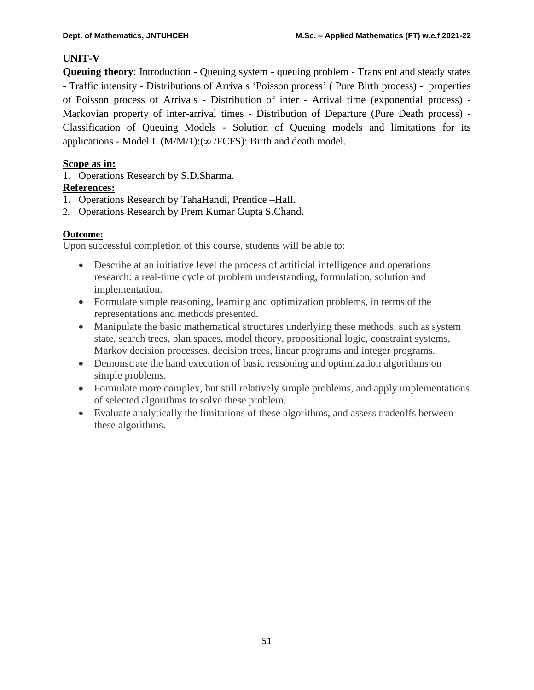# **UNIT-V**

**Queuing theory**: Introduction - Queuing system - queuing problem - Transient and steady states - Traffic intensity - Distributions of Arrivals 'Poisson process' ( Pure Birth process) - properties of Poisson process of Arrivals - Distribution of inter - Arrival time (exponential process) - Markovian property of inter-arrival times - Distribution of Departure (Pure Death process) - Classification of Queuing Models - Solution of Queuing models and limitations for its applications - Model I.  $(M/M/1):( \infty / FCFS)$ : Birth and death model.

# **Scope as in:**

1. Operations Research by S.D.Sharma.

# **References:**

- 1. Operations Research by TahaHandi, Prentice –Hall.
- 2. Operations Research by Prem Kumar Gupta S.Chand.

# **Outcome:**

Upon successful completion of this course, students will be able to:

- Describe at an initiative level the process of artificial intelligence and operations research: a real-time cycle of problem understanding, formulation, solution and implementation.
- Formulate simple reasoning, learning and optimization problems, in terms of the representations and methods presented.
- Manipulate the basic mathematical structures underlying these methods, such as system state, search trees, plan spaces, model theory, propositional logic, constraint systems, Markov decision processes, decision trees, linear programs and integer programs.
- Demonstrate the hand execution of basic reasoning and optimization algorithms on simple problems.
- Formulate more complex, but still relatively simple problems, and apply implementations of selected algorithms to solve these problem.
- Evaluate analytically the limitations of these algorithms, and assess tradeoffs between these algorithms.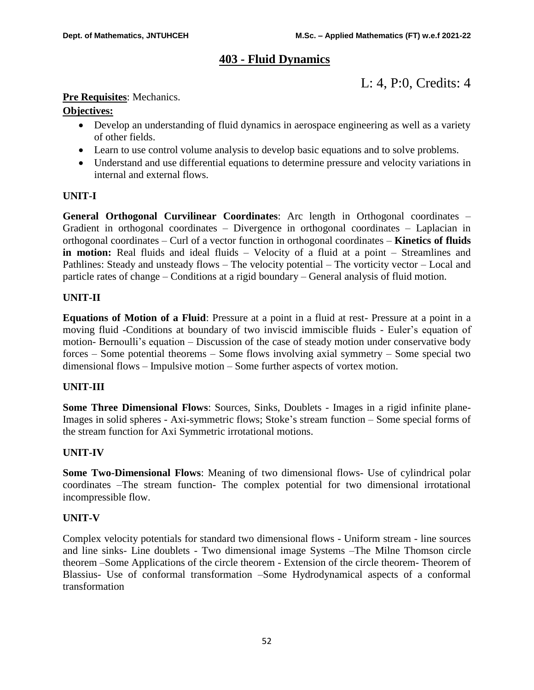# **403 - Fluid Dynamics**

L: 4, P:0, Credits: 4

# **Pre Requisites**: Mechanics.

# **Objectives:**

- Develop an understanding of fluid dynamics in aerospace engineering as well as a variety of other fields.
- Learn to use control volume analysis to develop basic equations and to solve problems.
- Understand and use differential equations to determine pressure and velocity variations in internal and external flows.

# **UNIT-I**

**General Orthogonal Curvilinear Coordinates**: Arc length in Orthogonal coordinates – Gradient in orthogonal coordinates – Divergence in orthogonal coordinates – Laplacian in orthogonal coordinates – Curl of a vector function in orthogonal coordinates – **Kinetics of fluids in motion:** Real fluids and ideal fluids – Velocity of a fluid at a point – Streamlines and Pathlines: Steady and unsteady flows – The velocity potential – The vorticity vector – Local and particle rates of change – Conditions at a rigid boundary – General analysis of fluid motion.

# **UNIT-II**

**Equations of Motion of a Fluid**: Pressure at a point in a fluid at rest- Pressure at a point in a moving fluid -Conditions at boundary of two inviscid immiscible fluids - Euler's equation of motion- Bernoulli's equation – Discussion of the case of steady motion under conservative body forces – Some potential theorems – Some flows involving axial symmetry – Some special two dimensional flows – Impulsive motion – Some further aspects of vortex motion.

# **UNIT-III**

**Some Three Dimensional Flows**: Sources, Sinks, Doublets - Images in a rigid infinite plane-Images in solid spheres - Axi-symmetric flows; Stoke's stream function – Some special forms of the stream function for Axi Symmetric irrotational motions.

# **UNIT-IV**

**Some Two-Dimensional Flows**: Meaning of two dimensional flows- Use of cylindrical polar coordinates –The stream function- The complex potential for two dimensional irrotational incompressible flow.

# **UNIT-V**

Complex velocity potentials for standard two dimensional flows - Uniform stream - line sources and line sinks- Line doublets - Two dimensional image Systems –The Milne Thomson circle theorem –Some Applications of the circle theorem - Extension of the circle theorem- Theorem of Blassius- Use of conformal transformation –Some Hydrodynamical aspects of a conformal transformation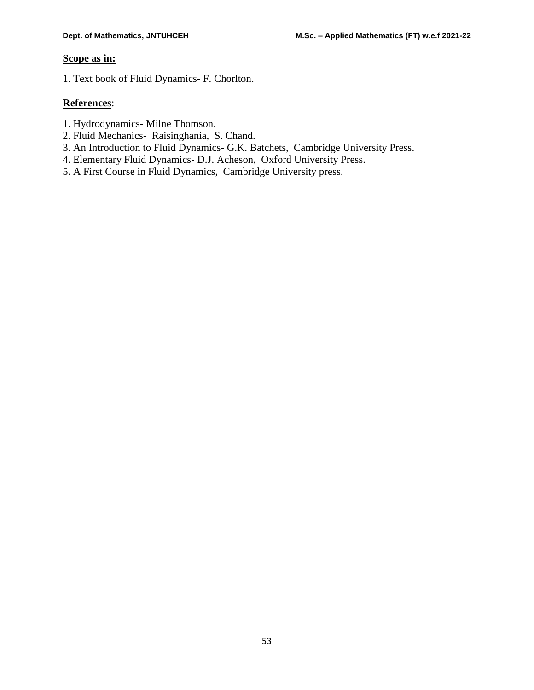# **Scope as in:**

1. Text book of Fluid Dynamics- F. Chorlton.

# **References**:

- 1. Hydrodynamics- Milne Thomson.
- 2. Fluid Mechanics- Raisinghania, S. Chand.
- 3. An Introduction to Fluid Dynamics- G.K. Batchets, Cambridge University Press.
- 4. Elementary Fluid Dynamics- D.J. Acheson, Oxford University Press.
- 5. A First Course in Fluid Dynamics, Cambridge University press.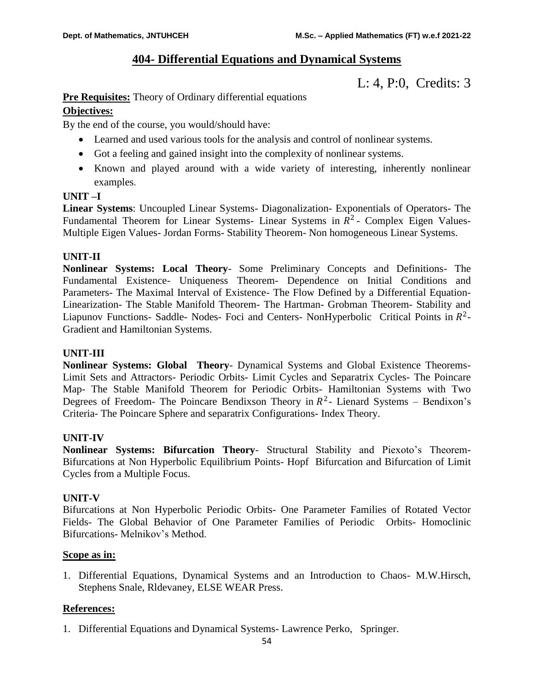# **404- Differential Equations and Dynamical Systems**

L: 4, P:0, Credits: 3

# **Pre Requisites:** Theory of Ordinary differential equations

# **Objectives:**

By the end of the course, you would/should have:

- Learned and used various tools for the analysis and control of nonlinear systems.
- Got a feeling and gained insight into the complexity of nonlinear systems.
- Known and played around with a wide variety of interesting, inherently nonlinear examples.

# **UNIT –I**

**Linear Systems**: Uncoupled Linear Systems- Diagonalization- Exponentials of Operators- The Fundamental Theorem for Linear Systems- Linear Systems in  $R^2$ - Complex Eigen Values-Multiple Eigen Values- Jordan Forms- Stability Theorem- Non homogeneous Linear Systems.

# **UNIT-II**

**Nonlinear Systems: Local Theory**- Some Preliminary Concepts and Definitions- The Fundamental Existence- Uniqueness Theorem- Dependence on Initial Conditions and Parameters- The Maximal Interval of Existence- The Flow Defined by a Differential Equation-Linearization- The Stable Manifold Theorem- The Hartman- Grobman Theorem- Stability and Liapunov Functions- Saddle- Nodes- Foci and Centers- NonHyperbolic Critical Points in  $R^2$ -Gradient and Hamiltonian Systems.

# **UNIT-III**

**Nonlinear Systems: Global Theory**- Dynamical Systems and Global Existence Theorems-Limit Sets and Attractors- Periodic Orbits- Limit Cycles and Separatrix Cycles- The Poincare Map- The Stable Manifold Theorem for Periodic Orbits- Hamiltonian Systems with Two Degrees of Freedom- The Poincare Bendixson Theory in  $R^2$ - Lienard Systems – Bendixon's Criteria- The Poincare Sphere and separatrix Configurations- Index Theory.

# **UNIT-IV**

**Nonlinear Systems: Bifurcation Theory**- Structural Stability and Piexoto's Theorem-Bifurcations at Non Hyperbolic Equilibrium Points- Hopf Bifurcation and Bifurcation of Limit Cycles from a Multiple Focus.

# **UNIT-V**

Bifurcations at Non Hyperbolic Periodic Orbits- One Parameter Families of Rotated Vector Fields- The Global Behavior of One Parameter Families of Periodic Orbits- Homoclinic Bifurcations- Melnikov's Method.

# **Scope as in:**

1. Differential Equations, Dynamical Systems and an Introduction to Chaos- M.W.Hirsch, Stephens Snale, Rldevaney, ELSE WEAR Press.

# **References:**

1. Differential Equations and Dynamical Systems- Lawrence Perko, Springer.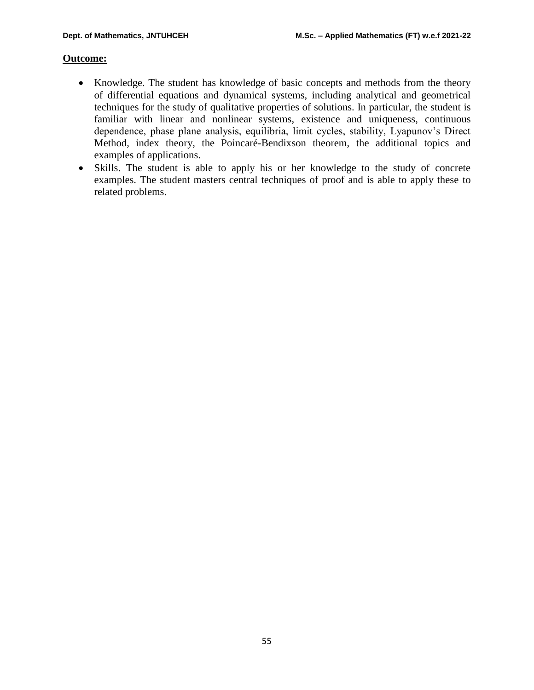# **Outcome:**

- Knowledge. The student has knowledge of basic concepts and methods from the theory of differential equations and dynamical systems, including analytical and geometrical techniques for the study of qualitative properties of solutions. In particular, the student is familiar with linear and nonlinear systems, existence and uniqueness, continuous dependence, phase plane analysis, equilibria, limit cycles, stability, Lyapunov's Direct Method, index theory, the Poincaré-Bendixson theorem, the additional topics and examples of applications.
- Skills. The student is able to apply his or her knowledge to the study of concrete examples. The student masters central techniques of proof and is able to apply these to related problems.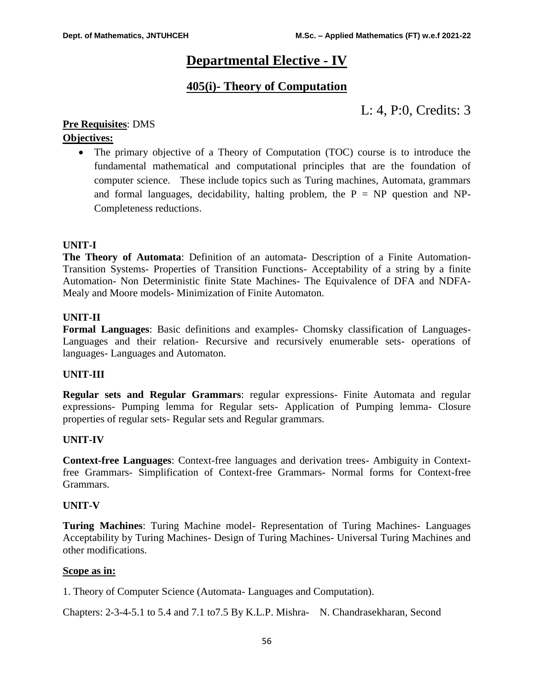# **Departmental Elective - IV**

# **405(i)- Theory of Computation**

L: 4, P:0, Credits: 3

# **Pre Requisites**: DMS

# **Objectives:**

• The primary objective of a Theory of Computation (TOC) course is to introduce the fundamental mathematical and computational principles that are the foundation of computer science. These include topics such as Turing machines, Automata, grammars and formal languages, decidability, halting problem, the  $P = NP$  question and NP-Completeness reductions.

# **UNIT-I**

**The Theory of Automata**: Definition of an automata- Description of a Finite Automation-Transition Systems- Properties of Transition Functions- Acceptability of a string by a finite Automation- Non Deterministic finite State Machines- The Equivalence of DFA and NDFA-Mealy and Moore models- Minimization of Finite Automaton.

# **UNIT-II**

**Formal Languages**: Basic definitions and examples- Chomsky classification of Languages-Languages and their relation- Recursive and recursively enumerable sets- operations of languages- Languages and Automaton.

# **UNIT-III**

**Regular sets and Regular Grammars**: regular expressions- Finite Automata and regular expressions- Pumping lemma for Regular sets- Application of Pumping lemma- Closure properties of regular sets- Regular sets and Regular grammars.

# **UNIT-IV**

**Context-free Languages**: Context-free languages and derivation trees- Ambiguity in Contextfree Grammars- Simplification of Context-free Grammars- Normal forms for Context-free Grammars.

# **UNIT-V**

**Turing Machines**: Turing Machine model- Representation of Turing Machines- Languages Acceptability by Turing Machines- Design of Turing Machines- Universal Turing Machines and other modifications.

# **Scope as in:**

1. Theory of Computer Science (Automata- Languages and Computation).

Chapters: 2-3-4-5.1 to 5.4 and 7.1 to7.5 By K.L.P. Mishra- N. Chandrasekharan, Second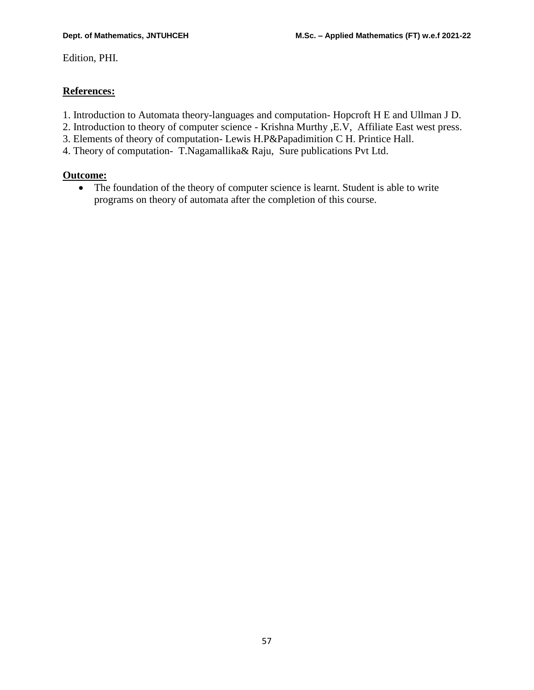Edition, PHI.

# **References:**

- 1. Introduction to Automata theory-languages and computation- Hopcroft H E and Ullman J D.
- 2. Introduction to theory of computer science Krishna Murthy ,E.V, Affiliate East west press.
- 3. Elements of theory of computation- Lewis H.P&Papadimition C H. Printice Hall.
- 4. Theory of computation- T.Nagamallika& Raju, Sure publications Pvt Ltd.

# **Outcome:**

 The foundation of the theory of computer science is learnt. Student is able to write programs on theory of automata after the completion of this course.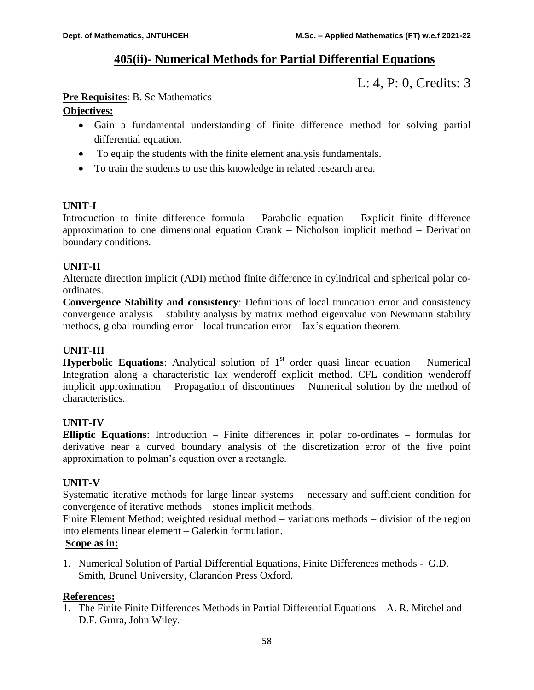# **405(ii)- Numerical Methods for Partial Differential Equations**

L: 4, P: 0, Credits: 3

# **Pre Requisites**: B. Sc Mathematics

# **Objectives:**

- Gain a fundamental understanding of finite difference method for solving partial differential equation.
- To equip the students with the finite element analysis fundamentals.
- To train the students to use this knowledge in related research area.

# **UNIT-I**

Introduction to finite difference formula – Parabolic equation – Explicit finite difference approximation to one dimensional equation Crank – Nicholson implicit method – Derivation boundary conditions.

# **UNIT-II**

Alternate direction implicit (ADI) method finite difference in cylindrical and spherical polar coordinates.

**Convergence Stability and consistency**: Definitions of local truncation error and consistency convergence analysis – stability analysis by matrix method eigenvalue von Newmann stability methods, global rounding error – local truncation error – Iax's equation theorem.

# **UNIT-III**

**Hyperbolic Equations:** Analytical solution of  $1<sup>st</sup>$  order quasi linear equation – Numerical Integration along a characteristic Iax wenderoff explicit method. CFL condition wenderoff implicit approximation – Propagation of discontinues – Numerical solution by the method of characteristics.

# **UNIT-IV**

**Elliptic Equations**: Introduction – Finite differences in polar co-ordinates – formulas for derivative near a curved boundary analysis of the discretization error of the five point approximation to polman's equation over a rectangle.

# **UNIT-V**

Systematic iterative methods for large linear systems – necessary and sufficient condition for convergence of iterative methods – stones implicit methods.

Finite Element Method: weighted residual method – variations methods – division of the region into elements linear element – Galerkin formulation.

# **Scope as in:**

1. Numerical Solution of Partial Differential Equations, Finite Differences methods - G.D. Smith, Brunel University, Clarandon Press Oxford.

# **References:**

1. The Finite Finite Differences Methods in Partial Differential Equations – A. R. Mitchel and D.F. Grnra, John Wiley.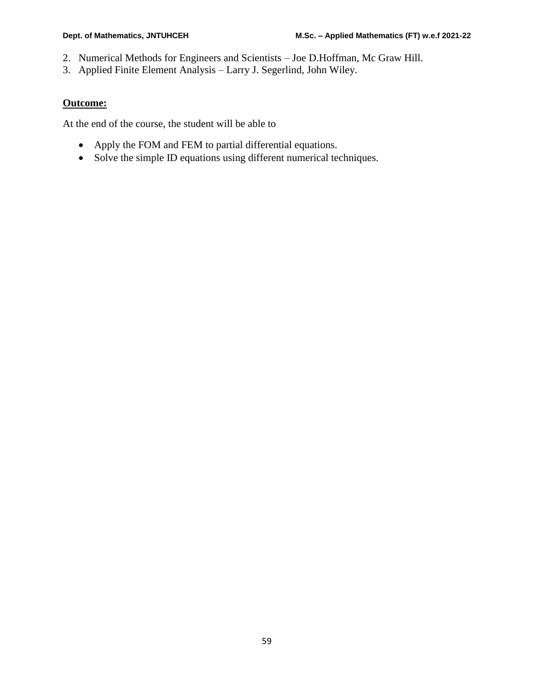- 2. Numerical Methods for Engineers and Scientists Joe D.Hoffman, Mc Graw Hill.
- 3. Applied Finite Element Analysis Larry J. Segerlind, John Wiley.

# **Outcome:**

At the end of the course, the student will be able to

- Apply the FOM and FEM to partial differential equations.
- Solve the simple ID equations using different numerical techniques.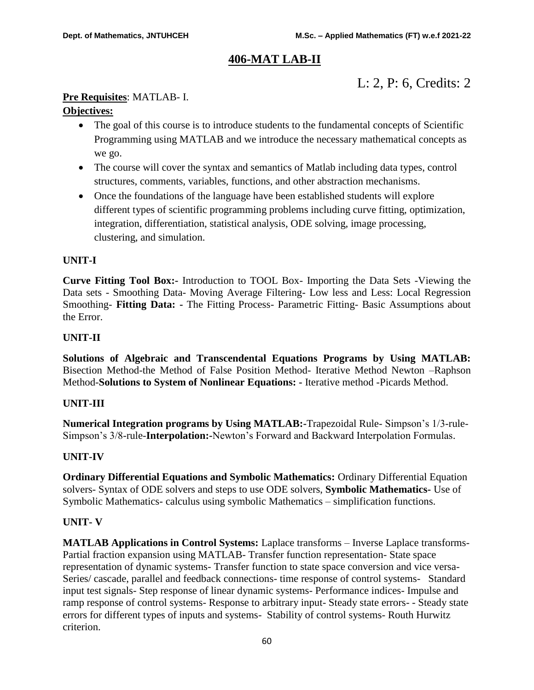# **406-MAT LAB-II**

# L: 2, P: 6, Credits: 2

# **Pre Requisites**: MATLAB- I.

# **Objectives:**

- The goal of this course is to introduce students to the fundamental concepts of Scientific Programming using MATLAB and we introduce the necessary mathematical concepts as we go.
- The course will cover the syntax and semantics of Matlab including data types, control structures, comments, variables, functions, and other abstraction mechanisms.
- Once the foundations of the language have been established students will explore different types of scientific programming problems including curve fitting, optimization, integration, differentiation, statistical analysis, ODE solving, image processing, clustering, and simulation.

# **UNIT-I**

**Curve Fitting Tool Box:-** Introduction to TOOL Box- Importing the Data Sets -Viewing the Data sets - Smoothing Data- Moving Average Filtering- Low less and Less: Local Regression Smoothing- **Fitting Data: -** The Fitting Process- Parametric Fitting- Basic Assumptions about the Error.

# **UNIT-II**

**Solutions of Algebraic and Transcendental Equations Programs by Using MATLAB:**  Bisection Method-the Method of False Position Method- Iterative Method Newton –Raphson Method-**Solutions to System of Nonlinear Equations: -** Iterative method -Picards Method.

# **UNIT-III**

**Numerical Integration programs by Using MATLAB:-**Trapezoidal Rule- Simpson's 1/3-rule-Simpson's 3/8-rule-**Interpolation:-**Newton's Forward and Backward Interpolation Formulas.

# **UNIT-IV**

**Ordinary Differential Equations and Symbolic Mathematics:** Ordinary Differential Equation solvers- Syntax of ODE solvers and steps to use ODE solvers, **Symbolic Mathematics-** Use of Symbolic Mathematics- calculus using symbolic Mathematics – simplification functions.

# **UNIT- V**

**MATLAB Applications in Control Systems:** Laplace transforms – Inverse Laplace transforms-Partial fraction expansion using MATLAB- Transfer function representation- State space representation of dynamic systems- Transfer function to state space conversion and vice versa-Series/ cascade, parallel and feedback connections- time response of control systems- Standard input test signals- Step response of linear dynamic systems- Performance indices- Impulse and ramp response of control systems- Response to arbitrary input- Steady state errors- - Steady state errors for different types of inputs and systems- Stability of control systems- Routh Hurwitz criterion.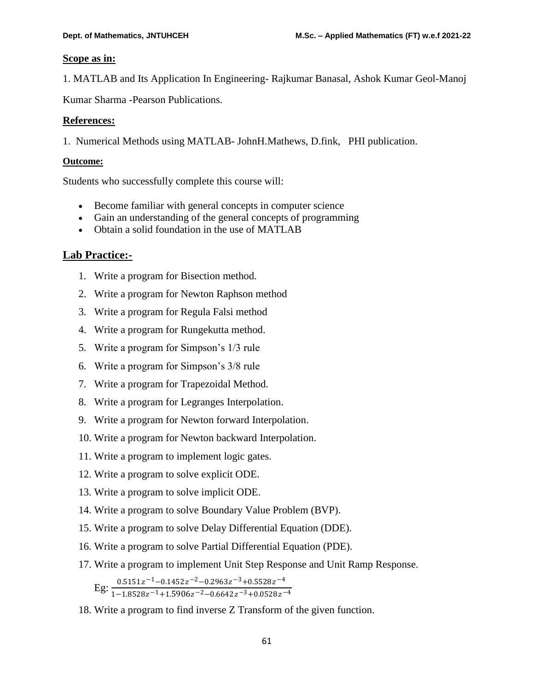# **Scope as in:**

1. MATLAB and Its Application In Engineering- Rajkumar Banasal, Ashok Kumar Geol-Manoj

Kumar Sharma -Pearson Publications.

# **References:**

1. Numerical Methods using MATLAB- JohnH.Mathews, D.fink, PHI publication.

# **Outcome:**

Students who successfully complete this course will:

- Become familiar with general concepts in computer science
- Gain an understanding of the general concepts of programming
- Obtain a solid foundation in the use of MATLAB

# **Lab Practice:-**

- 1. Write a program for Bisection method.
- 2. Write a program for Newton Raphson method
- 3. Write a program for Regula Falsi method
- 4. Write a program for Rungekutta method.
- 5. Write a program for Simpson's 1/3 rule
- 6. Write a program for Simpson's 3/8 rule
- 7. Write a program for Trapezoidal Method.
- 8. Write a program for Legranges Interpolation.
- 9. Write a program for Newton forward Interpolation.
- 10. Write a program for Newton backward Interpolation.
- 11. Write a program to implement logic gates.
- 12. Write a program to solve explicit ODE.
- 13. Write a program to solve implicit ODE.
- 14. Write a program to solve Boundary Value Problem (BVP).
- 15. Write a program to solve Delay Differential Equation (DDE).
- 16. Write a program to solve Partial Differential Equation (PDE).
- 17. Write a program to implement Unit Step Response and Unit Ramp Response.
	- $E_g: \frac{0.5151z^{-1} 0.1452z^{-2} 0.2963z^{-3} + 0.5528z^{-4}}{1.4.9522z^{-1} + 1.5026z^{-2} 0.6642z^{-3} + 0.9522z^{-4}}$  $1-1.8528z^{-1}+1.5906z^{-2}-0.6642z^{-3}+0.0528z^{-4}$
- 18. Write a program to find inverse Z Transform of the given function.